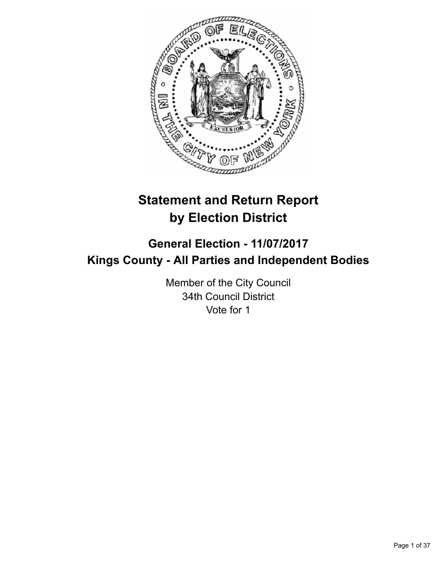

# **Statement and Return Report by Election District**

# **General Election - 11/07/2017 Kings County - All Parties and Independent Bodies**

Member of the City Council 34th Council District Vote for 1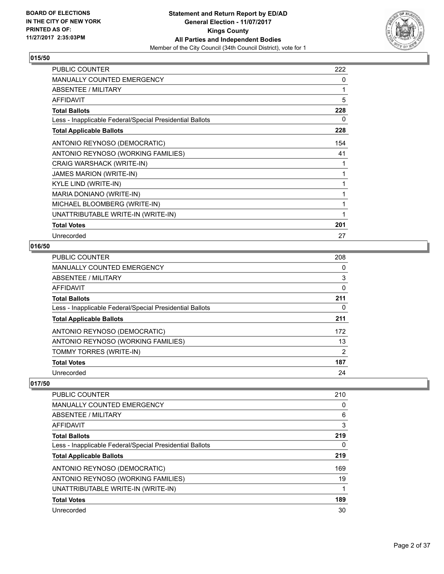

| <b>PUBLIC COUNTER</b>                                    | 222 |
|----------------------------------------------------------|-----|
| <b>MANUALLY COUNTED EMERGENCY</b>                        | 0   |
| <b>ABSENTEE / MILITARY</b>                               | 1   |
| <b>AFFIDAVIT</b>                                         | 5   |
| <b>Total Ballots</b>                                     | 228 |
| Less - Inapplicable Federal/Special Presidential Ballots | 0   |
| <b>Total Applicable Ballots</b>                          | 228 |
| ANTONIO REYNOSO (DEMOCRATIC)                             | 154 |
| ANTONIO REYNOSO (WORKING FAMILIES)                       | 41  |
| CRAIG WARSHACK (WRITE-IN)                                | 1   |
| <b>JAMES MARION (WRITE-IN)</b>                           | 1   |
| KYLE LIND (WRITE-IN)                                     | 1   |
| MARIA DONIANO (WRITE-IN)                                 | 1   |
| MICHAEL BLOOMBERG (WRITE-IN)                             | 1   |
| UNATTRIBUTABLE WRITE-IN (WRITE-IN)                       | 1   |
| <b>Total Votes</b>                                       | 201 |
| Unrecorded                                               | 27  |

# **016/50**

| <b>PUBLIC COUNTER</b>                                    | 208 |
|----------------------------------------------------------|-----|
| <b>MANUALLY COUNTED EMERGENCY</b>                        | 0   |
| <b>ABSENTEE / MILITARY</b>                               | 3   |
| <b>AFFIDAVIT</b>                                         | 0   |
| <b>Total Ballots</b>                                     | 211 |
| Less - Inapplicable Federal/Special Presidential Ballots | 0   |
| <b>Total Applicable Ballots</b>                          | 211 |
| ANTONIO REYNOSO (DEMOCRATIC)                             | 172 |
| ANTONIO REYNOSO (WORKING FAMILIES)                       | 13  |
| TOMMY TORRES (WRITE-IN)                                  | 2   |
| <b>Total Votes</b>                                       | 187 |
| Unrecorded                                               | 24  |

| <b>PUBLIC COUNTER</b>                                    | 210 |
|----------------------------------------------------------|-----|
| MANUALLY COUNTED EMERGENCY                               | 0   |
| ABSENTEE / MILITARY                                      | 6   |
| AFFIDAVIT                                                | 3   |
| <b>Total Ballots</b>                                     | 219 |
| Less - Inapplicable Federal/Special Presidential Ballots | 0   |
| <b>Total Applicable Ballots</b>                          | 219 |
| ANTONIO REYNOSO (DEMOCRATIC)                             | 169 |
| ANTONIO REYNOSO (WORKING FAMILIES)                       | 19  |
| UNATTRIBUTABLE WRITE-IN (WRITE-IN)                       |     |
| <b>Total Votes</b>                                       | 189 |
| Unrecorded                                               | 30  |
|                                                          |     |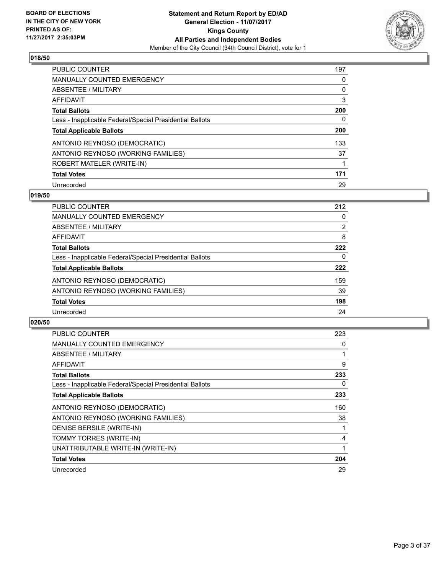

| <b>PUBLIC COUNTER</b>                                    | 197 |
|----------------------------------------------------------|-----|
| <b>MANUALLY COUNTED EMERGENCY</b>                        | 0   |
| ABSENTEE / MILITARY                                      | 0   |
| AFFIDAVIT                                                | 3   |
| <b>Total Ballots</b>                                     | 200 |
| Less - Inapplicable Federal/Special Presidential Ballots | 0   |
| <b>Total Applicable Ballots</b>                          | 200 |
| ANTONIO REYNOSO (DEMOCRATIC)                             | 133 |
| ANTONIO REYNOSO (WORKING FAMILIES)                       | 37  |
| ROBERT MATELER (WRITE-IN)                                |     |
| <b>Total Votes</b>                                       | 171 |
| Unrecorded                                               | 29  |

### **019/50**

| <b>PUBLIC COUNTER</b>                                    | 212            |
|----------------------------------------------------------|----------------|
| <b>MANUALLY COUNTED EMERGENCY</b>                        | 0              |
| ABSENTEE / MILITARY                                      | $\overline{2}$ |
| AFFIDAVIT                                                | 8              |
| <b>Total Ballots</b>                                     | 222            |
| Less - Inapplicable Federal/Special Presidential Ballots | 0              |
| <b>Total Applicable Ballots</b>                          | 222            |
| ANTONIO REYNOSO (DEMOCRATIC)                             | 159            |
| ANTONIO REYNOSO (WORKING FAMILIES)                       | 39             |
| <b>Total Votes</b>                                       | 198            |
| Unrecorded                                               | 24             |

| <b>PUBLIC COUNTER</b>                                    | 223 |
|----------------------------------------------------------|-----|
| <b>MANUALLY COUNTED EMERGENCY</b>                        | 0   |
| <b>ABSENTEE / MILITARY</b>                               |     |
| AFFIDAVIT                                                | 9   |
| <b>Total Ballots</b>                                     | 233 |
| Less - Inapplicable Federal/Special Presidential Ballots | 0   |
| <b>Total Applicable Ballots</b>                          | 233 |
| ANTONIO REYNOSO (DEMOCRATIC)                             | 160 |
| ANTONIO REYNOSO (WORKING FAMILIES)                       | 38  |
| DENISE BERSILE (WRITE-IN)                                |     |
|                                                          |     |
| TOMMY TORRES (WRITE-IN)                                  | 4   |
| UNATTRIBUTABLE WRITE-IN (WRITE-IN)                       |     |
| <b>Total Votes</b>                                       | 204 |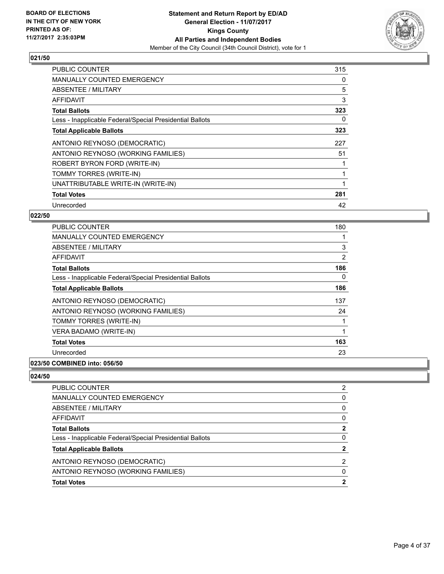

| <b>PUBLIC COUNTER</b>                                    | 315 |
|----------------------------------------------------------|-----|
| <b>MANUALLY COUNTED EMERGENCY</b>                        | 0   |
| <b>ABSENTEE / MILITARY</b>                               | 5   |
| AFFIDAVIT                                                | 3   |
| <b>Total Ballots</b>                                     | 323 |
| Less - Inapplicable Federal/Special Presidential Ballots | 0   |
| <b>Total Applicable Ballots</b>                          | 323 |
| ANTONIO REYNOSO (DEMOCRATIC)                             | 227 |
| ANTONIO REYNOSO (WORKING FAMILIES)                       | 51  |
| ROBERT BYRON FORD (WRITE-IN)                             |     |
| TOMMY TORRES (WRITE-IN)                                  |     |
| UNATTRIBUTABLE WRITE-IN (WRITE-IN)                       |     |
| <b>Total Votes</b>                                       | 281 |
| Unrecorded                                               | 42  |

# **022/50**

| <b>PUBLIC COUNTER</b>                                                                                                                                                                                                                                                                                                                                                                                                  | 180 |
|------------------------------------------------------------------------------------------------------------------------------------------------------------------------------------------------------------------------------------------------------------------------------------------------------------------------------------------------------------------------------------------------------------------------|-----|
| <b>MANUALLY COUNTED EMERGENCY</b>                                                                                                                                                                                                                                                                                                                                                                                      |     |
| ABSENTEE / MILITARY                                                                                                                                                                                                                                                                                                                                                                                                    | 3   |
| <b>AFFIDAVIT</b>                                                                                                                                                                                                                                                                                                                                                                                                       | 2   |
| <b>Total Ballots</b>                                                                                                                                                                                                                                                                                                                                                                                                   | 186 |
| Less - Inapplicable Federal/Special Presidential Ballots                                                                                                                                                                                                                                                                                                                                                               | 0   |
| <b>Total Applicable Ballots</b>                                                                                                                                                                                                                                                                                                                                                                                        | 186 |
| ANTONIO REYNOSO (DEMOCRATIC)                                                                                                                                                                                                                                                                                                                                                                                           | 137 |
| ANTONIO REYNOSO (WORKING FAMILIES)                                                                                                                                                                                                                                                                                                                                                                                     | 24  |
| TOMMY TORRES (WRITE-IN)                                                                                                                                                                                                                                                                                                                                                                                                |     |
| VERA BADAMO (WRITE-IN)                                                                                                                                                                                                                                                                                                                                                                                                 |     |
| <b>Total Votes</b>                                                                                                                                                                                                                                                                                                                                                                                                     | 163 |
| Unrecorded                                                                                                                                                                                                                                                                                                                                                                                                             | 23  |
| $\mathbf{A} \mathbf{A} \mathbf{B} \mathbf{B} \mathbf{B} \mathbf{B} \mathbf{B} \mathbf{A} \mathbf{A} \mathbf{A} \mathbf{A} \mathbf{A} \mathbf{A} \mathbf{A} \mathbf{A} \mathbf{A} \mathbf{A} \mathbf{A} \mathbf{A} \mathbf{A} \mathbf{A} \mathbf{A} \mathbf{A} \mathbf{A} \mathbf{A} \mathbf{A} \mathbf{A} \mathbf{A} \mathbf{A} \mathbf{A} \mathbf{A} \mathbf{A} \mathbf{A} \mathbf{A} \mathbf{A} \mathbf{A} \mathbf{$ |     |

# **023/50 COMBINED into: 056/50**

| <b>PUBLIC COUNTER</b>                                    | 2 |
|----------------------------------------------------------|---|
| <b>MANUALLY COUNTED EMERGENCY</b>                        | 0 |
| ABSENTEE / MILITARY                                      | 0 |
| AFFIDAVIT                                                | 0 |
| <b>Total Ballots</b>                                     | 2 |
| Less - Inapplicable Federal/Special Presidential Ballots | 0 |
| <b>Total Applicable Ballots</b>                          | 2 |
| ANTONIO REYNOSO (DEMOCRATIC)                             | 2 |
| ANTONIO REYNOSO (WORKING FAMILIES)                       | 0 |
| <b>Total Votes</b>                                       | 2 |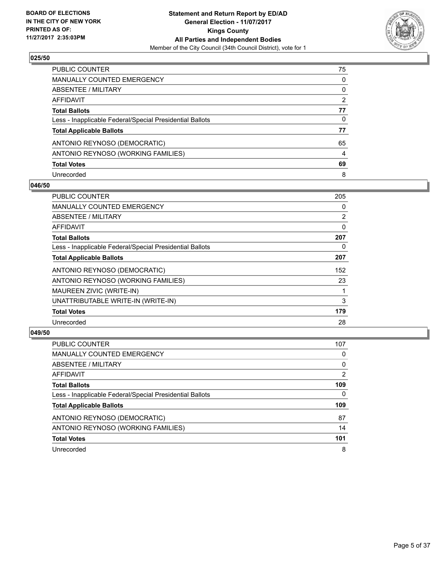

| PUBLIC COUNTER                                           | 75             |
|----------------------------------------------------------|----------------|
| <b>MANUALLY COUNTED EMERGENCY</b>                        | 0              |
| ABSENTEE / MILITARY                                      | 0              |
| AFFIDAVIT                                                | $\overline{2}$ |
| <b>Total Ballots</b>                                     | 77             |
| Less - Inapplicable Federal/Special Presidential Ballots | 0              |
| <b>Total Applicable Ballots</b>                          | 77             |
| ANTONIO REYNOSO (DEMOCRATIC)                             | 65             |
| ANTONIO REYNOSO (WORKING FAMILIES)                       | 4              |
| <b>Total Votes</b>                                       | 69             |
| Unrecorded                                               | 8              |

#### **046/50**

| <b>PUBLIC COUNTER</b>                                    | 205 |
|----------------------------------------------------------|-----|
| <b>MANUALLY COUNTED EMERGENCY</b>                        | 0   |
| ABSENTEE / MILITARY                                      | 2   |
| <b>AFFIDAVIT</b>                                         | 0   |
| <b>Total Ballots</b>                                     | 207 |
| Less - Inapplicable Federal/Special Presidential Ballots | 0   |
| <b>Total Applicable Ballots</b>                          | 207 |
| ANTONIO REYNOSO (DEMOCRATIC)                             | 152 |
| ANTONIO REYNOSO (WORKING FAMILIES)                       | 23  |
| MAUREEN ZIVIC (WRITE-IN)                                 |     |
| UNATTRIBUTABLE WRITE-IN (WRITE-IN)                       | 3   |
| <b>Total Votes</b>                                       | 179 |
| Unrecorded                                               | 28  |

| <b>PUBLIC COUNTER</b>                                    | 107            |
|----------------------------------------------------------|----------------|
| MANUALLY COUNTED EMERGENCY                               | 0              |
| ABSENTEE / MILITARY                                      | 0              |
| AFFIDAVIT                                                | $\overline{2}$ |
| <b>Total Ballots</b>                                     | 109            |
| Less - Inapplicable Federal/Special Presidential Ballots | 0              |
| <b>Total Applicable Ballots</b>                          | 109            |
| ANTONIO REYNOSO (DEMOCRATIC)                             | 87             |
| ANTONIO REYNOSO (WORKING FAMILIES)                       | 14             |
| <b>Total Votes</b>                                       | 101            |
| Unrecorded                                               | 8              |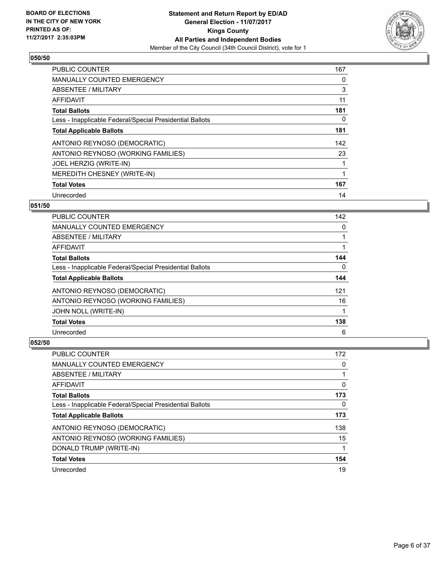

| <b>PUBLIC COUNTER</b>                                    | 167 |
|----------------------------------------------------------|-----|
| <b>MANUALLY COUNTED EMERGENCY</b>                        | 0   |
| ABSENTEE / MILITARY                                      | 3   |
| <b>AFFIDAVIT</b>                                         | 11  |
| <b>Total Ballots</b>                                     | 181 |
| Less - Inapplicable Federal/Special Presidential Ballots | 0   |
| <b>Total Applicable Ballots</b>                          | 181 |
| ANTONIO REYNOSO (DEMOCRATIC)                             | 142 |
| ANTONIO REYNOSO (WORKING FAMILIES)                       | 23  |
| JOEL HERZIG (WRITE-IN)                                   |     |
| MEREDITH CHESNEY (WRITE-IN)                              | 1   |
| <b>Total Votes</b>                                       | 167 |
| Unrecorded                                               | 14  |

# **051/50**

| <b>PUBLIC COUNTER</b>                                    | 142 |
|----------------------------------------------------------|-----|
| <b>MANUALLY COUNTED EMERGENCY</b>                        | 0   |
| ABSENTEE / MILITARY                                      |     |
| AFFIDAVIT                                                |     |
| <b>Total Ballots</b>                                     | 144 |
| Less - Inapplicable Federal/Special Presidential Ballots | 0   |
| <b>Total Applicable Ballots</b>                          | 144 |
| ANTONIO REYNOSO (DEMOCRATIC)                             | 121 |
| ANTONIO REYNOSO (WORKING FAMILIES)                       | 16  |
| <b>JOHN NOLL (WRITE-IN)</b>                              |     |
| <b>Total Votes</b>                                       | 138 |
| Unrecorded                                               | 6   |

| PUBLIC COUNTER                                           | 172 |
|----------------------------------------------------------|-----|
| <b>MANUALLY COUNTED EMERGENCY</b>                        | 0   |
| ABSENTEE / MILITARY                                      |     |
| AFFIDAVIT                                                | 0   |
| <b>Total Ballots</b>                                     | 173 |
| Less - Inapplicable Federal/Special Presidential Ballots | 0   |
| <b>Total Applicable Ballots</b>                          | 173 |
| ANTONIO REYNOSO (DEMOCRATIC)                             | 138 |
| ANTONIO REYNOSO (WORKING FAMILIES)                       | 15  |
| DONALD TRUMP (WRITE-IN)                                  |     |
| <b>Total Votes</b>                                       | 154 |
| Unrecorded                                               | 19  |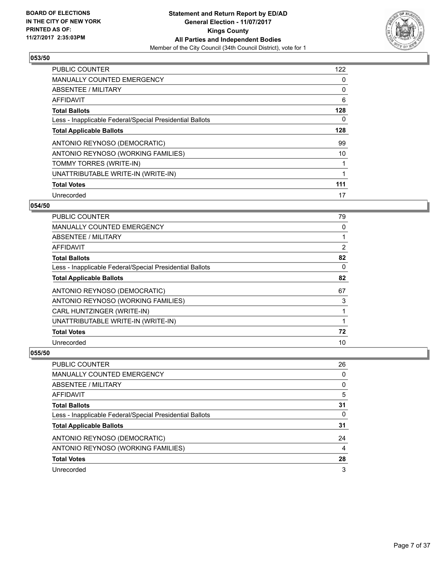

| <b>PUBLIC COUNTER</b>                                    | 122 |
|----------------------------------------------------------|-----|
| <b>MANUALLY COUNTED EMERGENCY</b>                        | 0   |
| ABSENTEE / MILITARY                                      | 0   |
| <b>AFFIDAVIT</b>                                         | 6   |
| <b>Total Ballots</b>                                     | 128 |
| Less - Inapplicable Federal/Special Presidential Ballots | 0   |
| <b>Total Applicable Ballots</b>                          | 128 |
| ANTONIO REYNOSO (DEMOCRATIC)                             | 99  |
| ANTONIO REYNOSO (WORKING FAMILIES)                       | 10  |
| TOMMY TORRES (WRITE-IN)                                  |     |
| UNATTRIBUTABLE WRITE-IN (WRITE-IN)                       | 1   |
| <b>Total Votes</b>                                       | 111 |
| Unrecorded                                               | 17  |

## **054/50**

| PUBLIC COUNTER                                           | 79             |
|----------------------------------------------------------|----------------|
| MANUALLY COUNTED EMERGENCY                               | 0              |
| ABSENTEE / MILITARY                                      |                |
| AFFIDAVIT                                                | $\overline{2}$ |
| <b>Total Ballots</b>                                     | 82             |
| Less - Inapplicable Federal/Special Presidential Ballots | 0              |
| <b>Total Applicable Ballots</b>                          | 82             |
| ANTONIO REYNOSO (DEMOCRATIC)                             | 67             |
| ANTONIO REYNOSO (WORKING FAMILIES)                       | 3              |
| CARL HUNTZINGER (WRITE-IN)                               |                |
| UNATTRIBUTABLE WRITE-IN (WRITE-IN)                       |                |
| <b>Total Votes</b>                                       | 72             |
| Unrecorded                                               | 10             |

| <b>PUBLIC COUNTER</b>                                    | 26 |
|----------------------------------------------------------|----|
| MANUALLY COUNTED EMERGENCY                               | 0  |
| ABSENTEE / MILITARY                                      | 0  |
| AFFIDAVIT                                                | 5  |
| <b>Total Ballots</b>                                     | 31 |
| Less - Inapplicable Federal/Special Presidential Ballots | 0  |
| <b>Total Applicable Ballots</b>                          | 31 |
| ANTONIO REYNOSO (DEMOCRATIC)                             | 24 |
| ANTONIO REYNOSO (WORKING FAMILIES)                       | 4  |
| <b>Total Votes</b>                                       | 28 |
| Unrecorded                                               | 3  |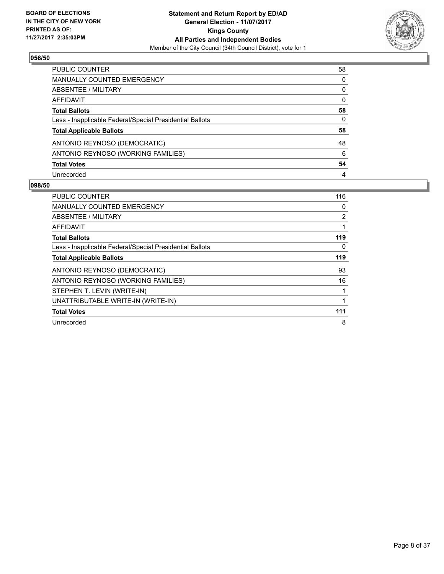

| <b>PUBLIC COUNTER</b>                                    | 58 |
|----------------------------------------------------------|----|
| MANUALLY COUNTED EMERGENCY                               | 0  |
| ABSENTEE / MILITARY                                      | 0  |
| AFFIDAVIT                                                | 0  |
| <b>Total Ballots</b>                                     | 58 |
| Less - Inapplicable Federal/Special Presidential Ballots | 0  |
| <b>Total Applicable Ballots</b>                          | 58 |
| ANTONIO REYNOSO (DEMOCRATIC)                             | 48 |
| ANTONIO REYNOSO (WORKING FAMILIES)                       | 6  |
| <b>Total Votes</b>                                       | 54 |
| Unrecorded                                               | 4  |

| <b>PUBLIC COUNTER</b>                                    | 116 |
|----------------------------------------------------------|-----|
| <b>MANUALLY COUNTED EMERGENCY</b>                        | 0   |
| ABSENTEE / MILITARY                                      | 2   |
| <b>AFFIDAVIT</b>                                         |     |
| <b>Total Ballots</b>                                     | 119 |
| Less - Inapplicable Federal/Special Presidential Ballots | 0   |
| <b>Total Applicable Ballots</b>                          | 119 |
| ANTONIO REYNOSO (DEMOCRATIC)                             | 93  |
| ANTONIO REYNOSO (WORKING FAMILIES)                       | 16  |
| STEPHEN T. LEVIN (WRITE-IN)                              |     |
| UNATTRIBUTABLE WRITE-IN (WRITE-IN)                       |     |
| <b>Total Votes</b>                                       | 111 |
| Unrecorded                                               | 8   |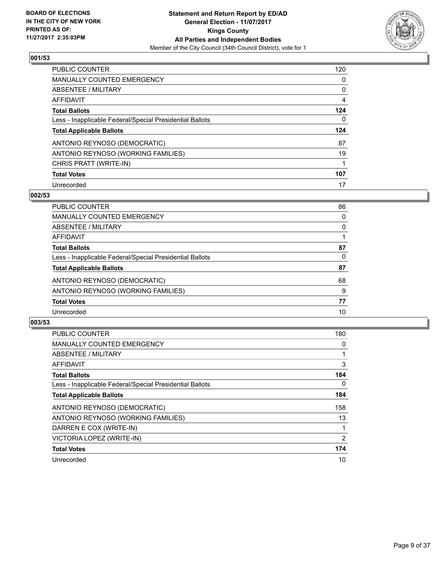

| <b>PUBLIC COUNTER</b>                                    | 120 |
|----------------------------------------------------------|-----|
| <b>MANUALLY COUNTED EMERGENCY</b>                        | 0   |
| ABSENTEE / MILITARY                                      | 0   |
| AFFIDAVIT                                                | 4   |
| <b>Total Ballots</b>                                     | 124 |
| Less - Inapplicable Federal/Special Presidential Ballots | 0   |
| <b>Total Applicable Ballots</b>                          | 124 |
| ANTONIO REYNOSO (DEMOCRATIC)                             | 87  |
| ANTONIO REYNOSO (WORKING FAMILIES)                       | 19  |
| CHRIS PRATT (WRITE-IN)                                   |     |
| <b>Total Votes</b>                                       | 107 |
|                                                          |     |

#### **002/53**

| PUBLIC COUNTER                                           | 86 |
|----------------------------------------------------------|----|
| <b>MANUALLY COUNTED EMERGENCY</b>                        | 0  |
| ABSENTEE / MILITARY                                      | 0  |
| AFFIDAVIT                                                |    |
| <b>Total Ballots</b>                                     | 87 |
| Less - Inapplicable Federal/Special Presidential Ballots | 0  |
| <b>Total Applicable Ballots</b>                          | 87 |
| ANTONIO REYNOSO (DEMOCRATIC)                             | 68 |
| ANTONIO REYNOSO (WORKING FAMILIES)                       | 9  |
| <b>Total Votes</b>                                       | 77 |
| Unrecorded                                               | 10 |

| <b>PUBLIC COUNTER</b>                                    | 180            |
|----------------------------------------------------------|----------------|
| MANUALLY COUNTED EMERGENCY                               | 0              |
| ABSENTEE / MILITARY                                      |                |
| <b>AFFIDAVIT</b>                                         | 3              |
| <b>Total Ballots</b>                                     | 184            |
| Less - Inapplicable Federal/Special Presidential Ballots | 0              |
| <b>Total Applicable Ballots</b>                          | 184            |
| ANTONIO REYNOSO (DEMOCRATIC)                             | 158            |
| ANTONIO REYNOSO (WORKING FAMILIES)                       | 13             |
| DARREN E COX (WRITE-IN)                                  |                |
| VICTORIA LOPEZ (WRITE-IN)                                | $\overline{2}$ |
| <b>Total Votes</b>                                       | 174            |
| Unrecorded                                               | 10             |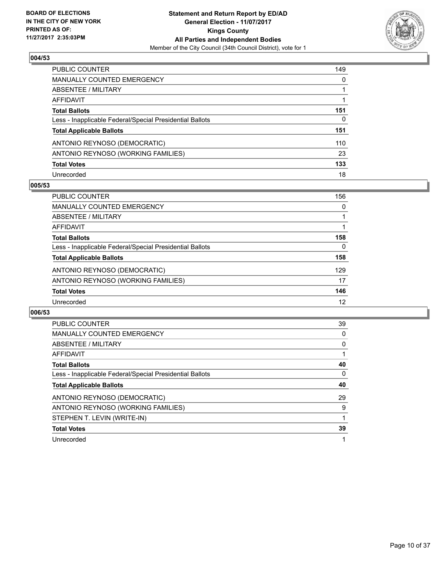

| <b>PUBLIC COUNTER</b>                                    | 149 |
|----------------------------------------------------------|-----|
| <b>MANUALLY COUNTED EMERGENCY</b>                        | 0   |
| ABSENTEE / MILITARY                                      |     |
| AFFIDAVIT                                                |     |
| <b>Total Ballots</b>                                     | 151 |
| Less - Inapplicable Federal/Special Presidential Ballots | 0   |
| <b>Total Applicable Ballots</b>                          | 151 |
| ANTONIO REYNOSO (DEMOCRATIC)                             | 110 |
| ANTONIO REYNOSO (WORKING FAMILIES)                       | 23  |
| <b>Total Votes</b>                                       | 133 |
| Unrecorded                                               | 18  |

#### **005/53**

| <b>PUBLIC COUNTER</b>                                    | 156 |
|----------------------------------------------------------|-----|
| <b>MANUALLY COUNTED EMERGENCY</b>                        | 0   |
| ABSENTEE / MILITARY                                      |     |
| AFFIDAVIT                                                |     |
| <b>Total Ballots</b>                                     | 158 |
| Less - Inapplicable Federal/Special Presidential Ballots | 0   |
| <b>Total Applicable Ballots</b>                          | 158 |
| ANTONIO REYNOSO (DEMOCRATIC)                             | 129 |
| ANTONIO REYNOSO (WORKING FAMILIES)                       | 17  |
| <b>Total Votes</b>                                       | 146 |
| Unrecorded                                               | 12  |

| <b>PUBLIC COUNTER</b>                                    | 39 |
|----------------------------------------------------------|----|
| <b>MANUALLY COUNTED EMERGENCY</b>                        | 0  |
| ABSENTEE / MILITARY                                      | 0  |
| AFFIDAVIT                                                |    |
| <b>Total Ballots</b>                                     | 40 |
| Less - Inapplicable Federal/Special Presidential Ballots | 0  |
| <b>Total Applicable Ballots</b>                          | 40 |
| ANTONIO REYNOSO (DEMOCRATIC)                             | 29 |
| ANTONIO REYNOSO (WORKING FAMILIES)                       | 9  |
| STEPHEN T. LEVIN (WRITE-IN)                              |    |
|                                                          |    |
| <b>Total Votes</b>                                       | 39 |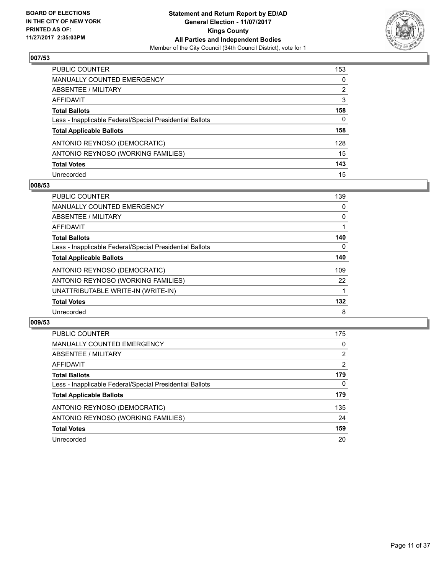

| PUBLIC COUNTER                                           | 153 |
|----------------------------------------------------------|-----|
| <b>MANUALLY COUNTED EMERGENCY</b>                        | 0   |
| ABSENTEE / MILITARY                                      | 2   |
| AFFIDAVIT                                                | 3   |
| <b>Total Ballots</b>                                     | 158 |
| Less - Inapplicable Federal/Special Presidential Ballots | 0   |
| <b>Total Applicable Ballots</b>                          | 158 |
| ANTONIO REYNOSO (DEMOCRATIC)                             | 128 |
| ANTONIO REYNOSO (WORKING FAMILIES)                       | 15  |
| <b>Total Votes</b>                                       | 143 |
| Unrecorded                                               | 15  |

#### **008/53**

| <b>PUBLIC COUNTER</b>                                    | 139 |
|----------------------------------------------------------|-----|
| <b>MANUALLY COUNTED EMERGENCY</b>                        | 0   |
| ABSENTEE / MILITARY                                      | 0   |
| AFFIDAVIT                                                |     |
| <b>Total Ballots</b>                                     | 140 |
| Less - Inapplicable Federal/Special Presidential Ballots | 0   |
| <b>Total Applicable Ballots</b>                          | 140 |
| ANTONIO REYNOSO (DEMOCRATIC)                             | 109 |
| ANTONIO REYNOSO (WORKING FAMILIES)                       | 22  |
| UNATTRIBUTABLE WRITE-IN (WRITE-IN)                       |     |
| <b>Total Votes</b>                                       | 132 |
| Unrecorded                                               | 8   |

| <b>PUBLIC COUNTER</b>                                    | 175 |
|----------------------------------------------------------|-----|
| MANUALLY COUNTED EMERGENCY                               | 0   |
| ABSENTEE / MILITARY                                      | 2   |
| AFFIDAVIT                                                | 2   |
| <b>Total Ballots</b>                                     | 179 |
| Less - Inapplicable Federal/Special Presidential Ballots | 0   |
| <b>Total Applicable Ballots</b>                          | 179 |
| ANTONIO REYNOSO (DEMOCRATIC)                             | 135 |
| ANTONIO REYNOSO (WORKING FAMILIES)                       | 24  |
| <b>Total Votes</b>                                       | 159 |
| Unrecorded                                               | 20  |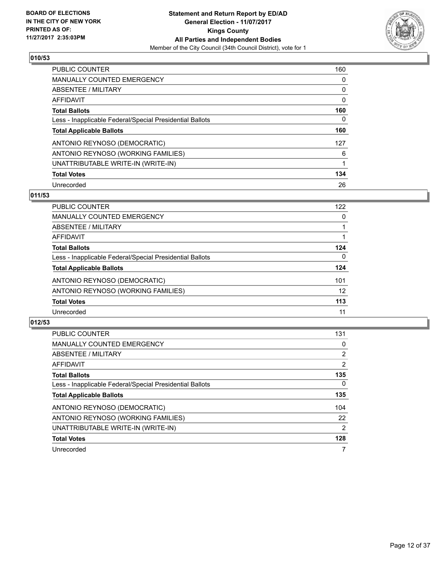

| <b>PUBLIC COUNTER</b>                                    | 160 |
|----------------------------------------------------------|-----|
| <b>MANUALLY COUNTED EMERGENCY</b>                        | 0   |
| ABSENTEE / MILITARY                                      | 0   |
| AFFIDAVIT                                                | 0   |
| <b>Total Ballots</b>                                     | 160 |
| Less - Inapplicable Federal/Special Presidential Ballots | 0   |
| <b>Total Applicable Ballots</b>                          | 160 |
| ANTONIO REYNOSO (DEMOCRATIC)                             | 127 |
| ANTONIO REYNOSO (WORKING FAMILIES)                       | 6   |
| UNATTRIBUTABLE WRITE-IN (WRITE-IN)                       |     |
| <b>Total Votes</b>                                       | 134 |
| Unrecorded                                               | 26  |

### **011/53**

| <b>PUBLIC COUNTER</b>                                    | 122 |
|----------------------------------------------------------|-----|
| <b>MANUALLY COUNTED EMERGENCY</b>                        | 0   |
| ABSENTEE / MILITARY                                      |     |
| <b>AFFIDAVIT</b>                                         |     |
| <b>Total Ballots</b>                                     | 124 |
| Less - Inapplicable Federal/Special Presidential Ballots | 0   |
| <b>Total Applicable Ballots</b>                          | 124 |
| ANTONIO REYNOSO (DEMOCRATIC)                             | 101 |
| ANTONIO REYNOSO (WORKING FAMILIES)                       | 12  |
| <b>Total Votes</b>                                       | 113 |
| Unrecorded                                               | 11  |

| <b>PUBLIC COUNTER</b>                                    | 131            |
|----------------------------------------------------------|----------------|
| <b>MANUALLY COUNTED EMERGENCY</b>                        | 0              |
| ABSENTEE / MILITARY                                      | $\overline{2}$ |
| AFFIDAVIT                                                | $\overline{2}$ |
| <b>Total Ballots</b>                                     | 135            |
| Less - Inapplicable Federal/Special Presidential Ballots | $\Omega$       |
| <b>Total Applicable Ballots</b>                          | 135            |
| ANTONIO REYNOSO (DEMOCRATIC)                             | 104            |
| ANTONIO REYNOSO (WORKING FAMILIES)                       | 22             |
| UNATTRIBUTABLE WRITE-IN (WRITE-IN)                       | 2              |
| <b>Total Votes</b>                                       | 128            |
| Unrecorded                                               | 7              |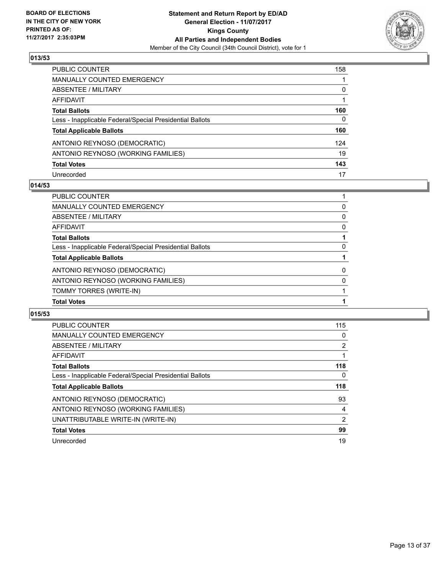

| <b>PUBLIC COUNTER</b>                                    | 158          |
|----------------------------------------------------------|--------------|
| <b>MANUALLY COUNTED EMERGENCY</b>                        |              |
| ABSENTEE / MILITARY                                      | 0            |
| <b>AFFIDAVIT</b>                                         |              |
| <b>Total Ballots</b>                                     | 160          |
| Less - Inapplicable Federal/Special Presidential Ballots | $\mathbf{0}$ |
| <b>Total Applicable Ballots</b>                          | 160          |
| ANTONIO REYNOSO (DEMOCRATIC)                             | 124          |
| ANTONIO REYNOSO (WORKING FAMILIES)                       | 19           |
| <b>Total Votes</b>                                       | 143          |
| Unrecorded                                               | 17           |

## **014/53**

| <b>PUBLIC COUNTER</b>                                    |   |
|----------------------------------------------------------|---|
| MANUALLY COUNTED EMERGENCY                               | 0 |
| ABSENTEE / MILITARY                                      | 0 |
| AFFIDAVIT                                                | 0 |
| <b>Total Ballots</b>                                     |   |
| Less - Inapplicable Federal/Special Presidential Ballots | 0 |
| <b>Total Applicable Ballots</b>                          |   |
| ANTONIO REYNOSO (DEMOCRATIC)                             | 0 |
| ANTONIO REYNOSO (WORKING FAMILIES)                       | 0 |
| TOMMY TORRES (WRITE-IN)                                  |   |
| <b>Total Votes</b>                                       |   |

| <b>PUBLIC COUNTER</b>                                    | 115            |
|----------------------------------------------------------|----------------|
|                                                          |                |
| <b>MANUALLY COUNTED EMERGENCY</b>                        | 0              |
| ABSENTEE / MILITARY                                      | 2              |
| AFFIDAVIT                                                |                |
| <b>Total Ballots</b>                                     | 118            |
| Less - Inapplicable Federal/Special Presidential Ballots | 0              |
| <b>Total Applicable Ballots</b>                          | 118            |
| ANTONIO REYNOSO (DEMOCRATIC)                             | 93             |
| ANTONIO REYNOSO (WORKING FAMILIES)                       | 4              |
| UNATTRIBUTABLE WRITE-IN (WRITE-IN)                       | $\overline{2}$ |
| <b>Total Votes</b>                                       | 99             |
| Unrecorded                                               | 19             |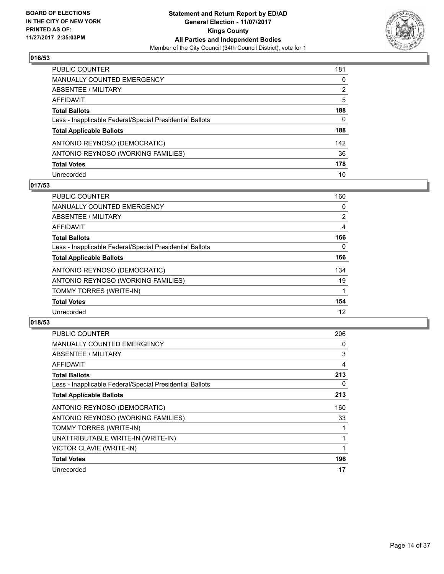

| PUBLIC COUNTER                                           | 181      |
|----------------------------------------------------------|----------|
| MANUALLY COUNTED EMERGENCY                               | $\Omega$ |
| <b>ABSENTEE / MILITARY</b>                               | 2        |
| AFFIDAVIT                                                | 5        |
| <b>Total Ballots</b>                                     | 188      |
| Less - Inapplicable Federal/Special Presidential Ballots | 0        |
| <b>Total Applicable Ballots</b>                          | 188      |
| ANTONIO REYNOSO (DEMOCRATIC)                             | 142      |
| ANTONIO REYNOSO (WORKING FAMILIES)                       | 36       |
| <b>Total Votes</b>                                       | 178      |
| Unrecorded                                               | 10       |

## **017/53**

| <b>PUBLIC COUNTER</b>                                    | 160            |
|----------------------------------------------------------|----------------|
| <b>MANUALLY COUNTED EMERGENCY</b>                        | 0              |
| ABSENTEE / MILITARY                                      | $\overline{2}$ |
| <b>AFFIDAVIT</b>                                         | 4              |
| <b>Total Ballots</b>                                     | 166            |
| Less - Inapplicable Federal/Special Presidential Ballots | 0              |
| <b>Total Applicable Ballots</b>                          | 166            |
| ANTONIO REYNOSO (DEMOCRATIC)                             | 134            |
| ANTONIO REYNOSO (WORKING FAMILIES)                       | 19             |
| TOMMY TORRES (WRITE-IN)                                  |                |
| <b>Total Votes</b>                                       | 154            |
| Unrecorded                                               | 12             |

| <b>PUBLIC COUNTER</b>                                    | 206 |
|----------------------------------------------------------|-----|
| <b>MANUALLY COUNTED EMERGENCY</b>                        | 0   |
| ABSENTEE / MILITARY                                      | 3   |
| AFFIDAVIT                                                | 4   |
| <b>Total Ballots</b>                                     | 213 |
| Less - Inapplicable Federal/Special Presidential Ballots | 0   |
| <b>Total Applicable Ballots</b>                          | 213 |
| ANTONIO REYNOSO (DEMOCRATIC)                             | 160 |
|                                                          |     |
| ANTONIO REYNOSO (WORKING FAMILIES)                       | 33  |
| TOMMY TORRES (WRITE-IN)                                  |     |
| UNATTRIBUTABLE WRITE-IN (WRITE-IN)                       |     |
| VICTOR CLAVIE (WRITE-IN)                                 |     |
| <b>Total Votes</b>                                       | 196 |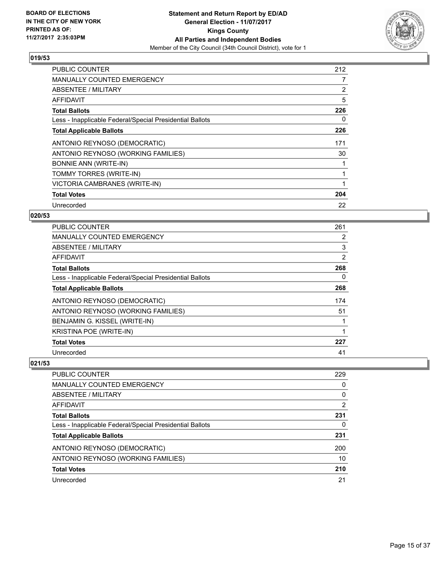

| <b>PUBLIC COUNTER</b>                                    | 212 |
|----------------------------------------------------------|-----|
| <b>MANUALLY COUNTED EMERGENCY</b>                        | 7   |
| <b>ABSENTEE / MILITARY</b>                               | 2   |
| AFFIDAVIT                                                | 5   |
| <b>Total Ballots</b>                                     | 226 |
| Less - Inapplicable Federal/Special Presidential Ballots | 0   |
| <b>Total Applicable Ballots</b>                          | 226 |
| ANTONIO REYNOSO (DEMOCRATIC)                             | 171 |
| ANTONIO REYNOSO (WORKING FAMILIES)                       | 30  |
| <b>BONNIE ANN (WRITE-IN)</b>                             |     |
| TOMMY TORRES (WRITE-IN)                                  |     |
| VICTORIA CAMBRANES (WRITE-IN)                            |     |
| <b>Total Votes</b>                                       | 204 |
| Unrecorded                                               | 22  |

# **020/53**

| <b>PUBLIC COUNTER</b>                                    | 261 |
|----------------------------------------------------------|-----|
| MANUALLY COUNTED EMERGENCY                               | 2   |
| ABSENTEE / MILITARY                                      | 3   |
| AFFIDAVIT                                                | 2   |
| <b>Total Ballots</b>                                     | 268 |
| Less - Inapplicable Federal/Special Presidential Ballots | 0   |
| <b>Total Applicable Ballots</b>                          | 268 |
| ANTONIO REYNOSO (DEMOCRATIC)                             | 174 |
| ANTONIO REYNOSO (WORKING FAMILIES)                       | 51  |
| BENJAMIN G. KISSEL (WRITE-IN)                            |     |
| <b>KRISTINA POE (WRITE-IN)</b>                           |     |
| <b>Total Votes</b>                                       | 227 |
| Unrecorded                                               | 41  |

| <b>PUBLIC COUNTER</b>                                    | 229            |
|----------------------------------------------------------|----------------|
| MANUALLY COUNTED EMERGENCY                               | 0              |
| ABSENTEE / MILITARY                                      | $\Omega$       |
| AFFIDAVIT                                                | $\overline{2}$ |
| <b>Total Ballots</b>                                     | 231            |
| Less - Inapplicable Federal/Special Presidential Ballots | 0              |
| <b>Total Applicable Ballots</b>                          | 231            |
| ANTONIO REYNOSO (DEMOCRATIC)                             | 200            |
| ANTONIO REYNOSO (WORKING FAMILIES)                       | 10             |
| <b>Total Votes</b>                                       | 210            |
| Unrecorded                                               | 21             |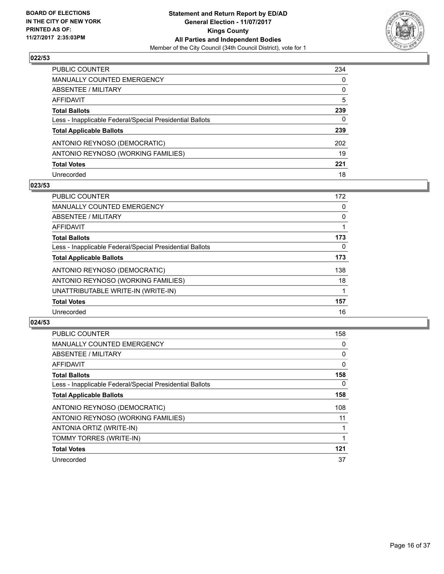

| <b>PUBLIC COUNTER</b>                                    | 234          |
|----------------------------------------------------------|--------------|
| <b>MANUALLY COUNTED EMERGENCY</b>                        | 0            |
| <b>ABSENTEE / MILITARY</b>                               | 0            |
| <b>AFFIDAVIT</b>                                         | 5            |
| <b>Total Ballots</b>                                     | 239          |
| Less - Inapplicable Federal/Special Presidential Ballots | $\mathbf{0}$ |
| <b>Total Applicable Ballots</b>                          | 239          |
| ANTONIO REYNOSO (DEMOCRATIC)                             | 202          |
| ANTONIO REYNOSO (WORKING FAMILIES)                       | 19           |
| <b>Total Votes</b>                                       | 221          |
| Unrecorded                                               | 18           |

#### **023/53**

| <b>PUBLIC COUNTER</b>                                    | 172      |
|----------------------------------------------------------|----------|
| <b>MANUALLY COUNTED EMERGENCY</b>                        | 0        |
| ABSENTEE / MILITARY                                      | 0        |
| AFFIDAVIT                                                |          |
| <b>Total Ballots</b>                                     | 173      |
| Less - Inapplicable Federal/Special Presidential Ballots | $\Omega$ |
| <b>Total Applicable Ballots</b>                          | 173      |
| ANTONIO REYNOSO (DEMOCRATIC)                             | 138      |
| ANTONIO REYNOSO (WORKING FAMILIES)                       | 18       |
| UNATTRIBUTABLE WRITE-IN (WRITE-IN)                       |          |
| <b>Total Votes</b>                                       | 157      |
| Unrecorded                                               | 16       |

| <b>PUBLIC COUNTER</b>                                    | 158 |
|----------------------------------------------------------|-----|
| <b>MANUALLY COUNTED EMERGENCY</b>                        | 0   |
| ABSENTEE / MILITARY                                      | 0   |
| AFFIDAVIT                                                | 0   |
| <b>Total Ballots</b>                                     | 158 |
| Less - Inapplicable Federal/Special Presidential Ballots | 0   |
| <b>Total Applicable Ballots</b>                          | 158 |
| ANTONIO REYNOSO (DEMOCRATIC)                             | 108 |
| ANTONIO REYNOSO (WORKING FAMILIES)                       | 11  |
| ANTONIA ORTIZ (WRITE-IN)                                 |     |
| TOMMY TORRES (WRITE-IN)                                  |     |
| <b>Total Votes</b>                                       | 121 |
| Unrecorded                                               | 37  |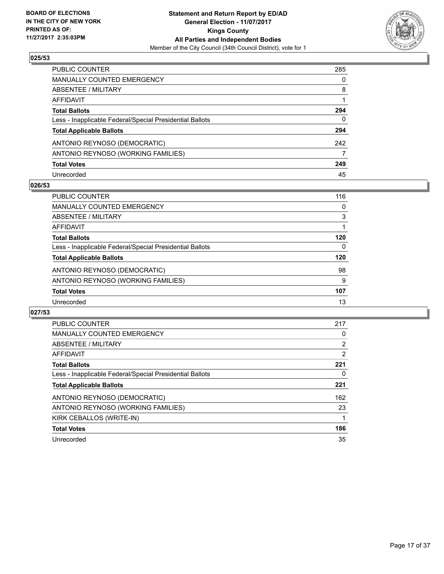

| PUBLIC COUNTER                                           | 285 |
|----------------------------------------------------------|-----|
| <b>MANUALLY COUNTED EMERGENCY</b>                        | 0   |
| <b>ABSENTEE / MILITARY</b>                               | 8   |
| <b>AFFIDAVIT</b>                                         |     |
| <b>Total Ballots</b>                                     | 294 |
| Less - Inapplicable Federal/Special Presidential Ballots | 0   |
| <b>Total Applicable Ballots</b>                          | 294 |
| ANTONIO REYNOSO (DEMOCRATIC)                             | 242 |
| ANTONIO REYNOSO (WORKING FAMILIES)                       | 7   |
| <b>Total Votes</b>                                       | 249 |
| Unrecorded                                               | 45  |

#### **026/53**

| <b>PUBLIC COUNTER</b>                                    | 116 |
|----------------------------------------------------------|-----|
| <b>MANUALLY COUNTED EMERGENCY</b>                        | 0   |
| ABSENTEE / MILITARY                                      | 3   |
| AFFIDAVIT                                                |     |
| <b>Total Ballots</b>                                     | 120 |
| Less - Inapplicable Federal/Special Presidential Ballots | 0   |
| <b>Total Applicable Ballots</b>                          | 120 |
| ANTONIO REYNOSO (DEMOCRATIC)                             | 98  |
| ANTONIO REYNOSO (WORKING FAMILIES)                       | 9   |
| <b>Total Votes</b>                                       | 107 |
| Unrecorded                                               | 13  |

| <b>PUBLIC COUNTER</b>                                    | 217                   |
|----------------------------------------------------------|-----------------------|
| <b>MANUALLY COUNTED EMERGENCY</b>                        | 0                     |
| ABSENTEE / MILITARY                                      | $\mathbf{2}^{\prime}$ |
| AFFIDAVIT                                                | 2                     |
| <b>Total Ballots</b>                                     | 221                   |
| Less - Inapplicable Federal/Special Presidential Ballots | 0                     |
| <b>Total Applicable Ballots</b>                          | 221                   |
| ANTONIO REYNOSO (DEMOCRATIC)                             | 162                   |
| ANTONIO REYNOSO (WORKING FAMILIES)                       | 23                    |
| KIRK CEBALLOS (WRITE-IN)                                 |                       |
| <b>Total Votes</b>                                       | 186                   |
| Unrecorded                                               | 35                    |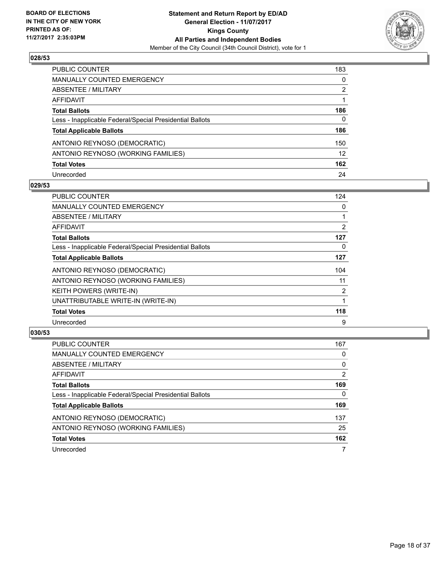

| PUBLIC COUNTER                                           | 183 |
|----------------------------------------------------------|-----|
| <b>MANUALLY COUNTED EMERGENCY</b>                        | 0   |
| <b>ABSENTEE / MILITARY</b>                               | 2   |
| AFFIDAVIT                                                |     |
| <b>Total Ballots</b>                                     | 186 |
| Less - Inapplicable Federal/Special Presidential Ballots | 0   |
| <b>Total Applicable Ballots</b>                          | 186 |
| ANTONIO REYNOSO (DEMOCRATIC)                             | 150 |
| ANTONIO REYNOSO (WORKING FAMILIES)                       | 12  |
| <b>Total Votes</b>                                       | 162 |
| Unrecorded                                               | 24  |

#### **029/53**

| <b>PUBLIC COUNTER</b>                                    | 124            |
|----------------------------------------------------------|----------------|
| <b>MANUALLY COUNTED EMERGENCY</b>                        | 0              |
| ABSENTEE / MILITARY                                      |                |
| AFFIDAVIT                                                | $\overline{2}$ |
| <b>Total Ballots</b>                                     | 127            |
| Less - Inapplicable Federal/Special Presidential Ballots | 0              |
| <b>Total Applicable Ballots</b>                          | 127            |
| ANTONIO REYNOSO (DEMOCRATIC)                             | 104            |
| ANTONIO REYNOSO (WORKING FAMILIES)                       | 11             |
| <b>KEITH POWERS (WRITE-IN)</b>                           | $\overline{2}$ |
| UNATTRIBUTABLE WRITE-IN (WRITE-IN)                       |                |
| <b>Total Votes</b>                                       | 118            |
| Unrecorded                                               | 9              |

| PUBLIC COUNTER                                           | 167            |
|----------------------------------------------------------|----------------|
| MANUALLY COUNTED EMERGENCY                               | 0              |
| ABSENTEE / MILITARY                                      | 0              |
| AFFIDAVIT                                                | $\overline{2}$ |
| <b>Total Ballots</b>                                     | 169            |
| Less - Inapplicable Federal/Special Presidential Ballots | 0              |
| <b>Total Applicable Ballots</b>                          | 169            |
| ANTONIO REYNOSO (DEMOCRATIC)                             | 137            |
| ANTONIO REYNOSO (WORKING FAMILIES)                       | 25             |
| <b>Total Votes</b>                                       | 162            |
| Unrecorded                                               |                |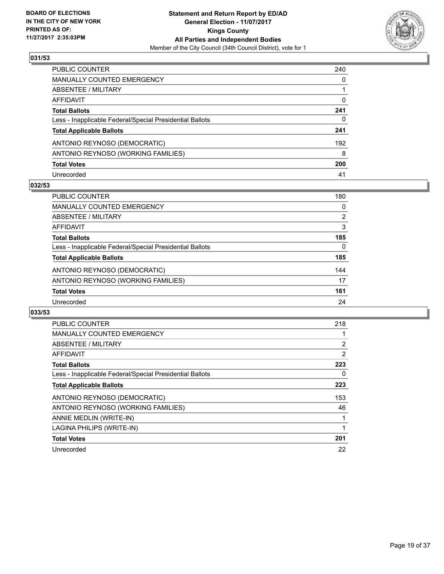

| PUBLIC COUNTER                                           | 240 |
|----------------------------------------------------------|-----|
| <b>MANUALLY COUNTED EMERGENCY</b>                        | 0   |
| <b>ABSENTEE / MILITARY</b>                               |     |
| AFFIDAVIT                                                | 0   |
| <b>Total Ballots</b>                                     | 241 |
| Less - Inapplicable Federal/Special Presidential Ballots | 0   |
| <b>Total Applicable Ballots</b>                          | 241 |
| ANTONIO REYNOSO (DEMOCRATIC)                             | 192 |
| ANTONIO REYNOSO (WORKING FAMILIES)                       | 8   |
| <b>Total Votes</b>                                       | 200 |
| Unrecorded                                               | 41  |

## **032/53**

| <b>PUBLIC COUNTER</b>                                    | 180 |
|----------------------------------------------------------|-----|
| MANUALLY COUNTED EMERGENCY                               | 0   |
| ABSENTEE / MILITARY                                      | 2   |
| AFFIDAVIT                                                | 3   |
| <b>Total Ballots</b>                                     | 185 |
| Less - Inapplicable Federal/Special Presidential Ballots | 0   |
| <b>Total Applicable Ballots</b>                          | 185 |
| ANTONIO REYNOSO (DEMOCRATIC)                             | 144 |
| ANTONIO REYNOSO (WORKING FAMILIES)                       | 17  |
| <b>Total Votes</b>                                       | 161 |
| Unrecorded                                               | 24  |

| <b>PUBLIC COUNTER</b>                                    | 218            |
|----------------------------------------------------------|----------------|
| MANUALLY COUNTED EMERGENCY                               |                |
| ABSENTEE / MILITARY                                      | $\overline{2}$ |
| AFFIDAVIT                                                | 2              |
| <b>Total Ballots</b>                                     | 223            |
| Less - Inapplicable Federal/Special Presidential Ballots | 0              |
| <b>Total Applicable Ballots</b>                          | 223            |
| ANTONIO REYNOSO (DEMOCRATIC)                             | 153            |
| ANTONIO REYNOSO (WORKING FAMILIES)                       | 46             |
| ANNIE MEDLIN (WRITE-IN)                                  |                |
| LAGINA PHILIPS (WRITE-IN)                                |                |
| <b>Total Votes</b>                                       | 201            |
| Unrecorded                                               | 22             |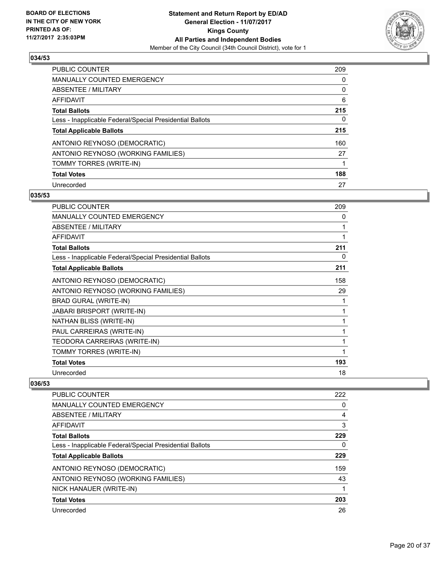

| <b>PUBLIC COUNTER</b>                                    | 209 |
|----------------------------------------------------------|-----|
| <b>MANUALLY COUNTED EMERGENCY</b>                        | 0   |
| ABSENTEE / MILITARY                                      | 0   |
| AFFIDAVIT                                                | 6   |
| <b>Total Ballots</b>                                     | 215 |
| Less - Inapplicable Federal/Special Presidential Ballots | 0   |
| <b>Total Applicable Ballots</b>                          | 215 |
| ANTONIO REYNOSO (DEMOCRATIC)                             | 160 |
| ANTONIO REYNOSO (WORKING FAMILIES)                       | 27  |
| TOMMY TORRES (WRITE-IN)                                  |     |
| <b>Total Votes</b>                                       | 188 |
| Unrecorded                                               | 27  |

#### **035/53**

| <b>PUBLIC COUNTER</b>                                    | 209 |
|----------------------------------------------------------|-----|
| <b>MANUALLY COUNTED EMERGENCY</b>                        | 0   |
| <b>ABSENTEE / MILITARY</b>                               | 1   |
| <b>AFFIDAVIT</b>                                         | 1   |
| <b>Total Ballots</b>                                     | 211 |
| Less - Inapplicable Federal/Special Presidential Ballots | 0   |
| <b>Total Applicable Ballots</b>                          | 211 |
| ANTONIO REYNOSO (DEMOCRATIC)                             | 158 |
| ANTONIO REYNOSO (WORKING FAMILIES)                       | 29  |
| <b>BRAD GURAL (WRITE-IN)</b>                             | 1   |
| JABARI BRISPORT (WRITE-IN)                               | 1   |
| NATHAN BLISS (WRITE-IN)                                  | 1   |
| PAUL CARREIRAS (WRITE-IN)                                | 1   |
| TEODORA CARREIRAS (WRITE-IN)                             | 1   |
| TOMMY TORRES (WRITE-IN)                                  | 1   |
| <b>Total Votes</b>                                       | 193 |
| Unrecorded                                               | 18  |

| <b>PUBLIC COUNTER</b>                                    | 222 |
|----------------------------------------------------------|-----|
| <b>MANUALLY COUNTED EMERGENCY</b>                        | 0   |
| ABSENTEE / MILITARY                                      | 4   |
| AFFIDAVIT                                                | 3   |
| <b>Total Ballots</b>                                     | 229 |
| Less - Inapplicable Federal/Special Presidential Ballots | 0   |
| <b>Total Applicable Ballots</b>                          | 229 |
| ANTONIO REYNOSO (DEMOCRATIC)                             | 159 |
| ANTONIO REYNOSO (WORKING FAMILIES)                       | 43  |
| NICK HANAUER (WRITE-IN)                                  |     |
| <b>Total Votes</b>                                       | 203 |
| Unrecorded                                               | 26  |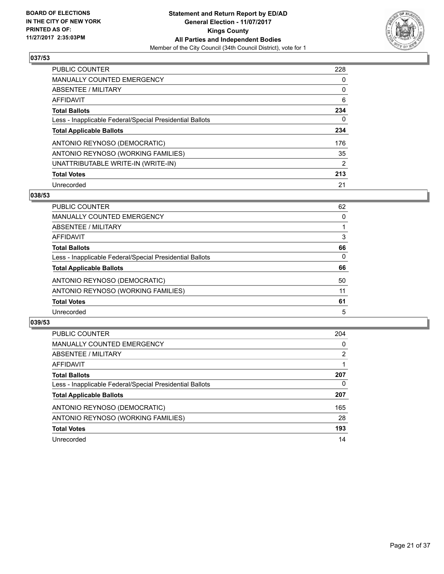

| <b>PUBLIC COUNTER</b>                                    | 228 |
|----------------------------------------------------------|-----|
| <b>MANUALLY COUNTED EMERGENCY</b>                        | 0   |
| ABSENTEE / MILITARY                                      | 0   |
| AFFIDAVIT                                                | 6   |
| <b>Total Ballots</b>                                     | 234 |
| Less - Inapplicable Federal/Special Presidential Ballots | 0   |
| <b>Total Applicable Ballots</b>                          | 234 |
| ANTONIO REYNOSO (DEMOCRATIC)                             | 176 |
| ANTONIO REYNOSO (WORKING FAMILIES)                       | 35  |
| UNATTRIBUTABLE WRITE-IN (WRITE-IN)                       | 2   |
| <b>Total Votes</b>                                       | 213 |
| Unrecorded                                               | 21  |

### **038/53**

| <b>PUBLIC COUNTER</b>                                    | 62 |
|----------------------------------------------------------|----|
| MANUALLY COUNTED EMERGENCY                               | 0  |
| ABSENTEE / MILITARY                                      |    |
| AFFIDAVIT                                                | 3  |
| <b>Total Ballots</b>                                     | 66 |
| Less - Inapplicable Federal/Special Presidential Ballots | 0  |
| <b>Total Applicable Ballots</b>                          | 66 |
| ANTONIO REYNOSO (DEMOCRATIC)                             | 50 |
| ANTONIO REYNOSO (WORKING FAMILIES)                       | 11 |
| <b>Total Votes</b>                                       | 61 |
| Unrecorded                                               | 5  |

| <b>PUBLIC COUNTER</b>                                    | 204 |
|----------------------------------------------------------|-----|
| <b>MANUALLY COUNTED EMERGENCY</b>                        | 0   |
| ABSENTEE / MILITARY                                      | 2   |
| AFFIDAVIT                                                |     |
| <b>Total Ballots</b>                                     | 207 |
| Less - Inapplicable Federal/Special Presidential Ballots | 0   |
| <b>Total Applicable Ballots</b>                          | 207 |
| ANTONIO REYNOSO (DEMOCRATIC)                             | 165 |
| ANTONIO REYNOSO (WORKING FAMILIES)                       | 28  |
| <b>Total Votes</b>                                       | 193 |
| Unrecorded                                               | 14  |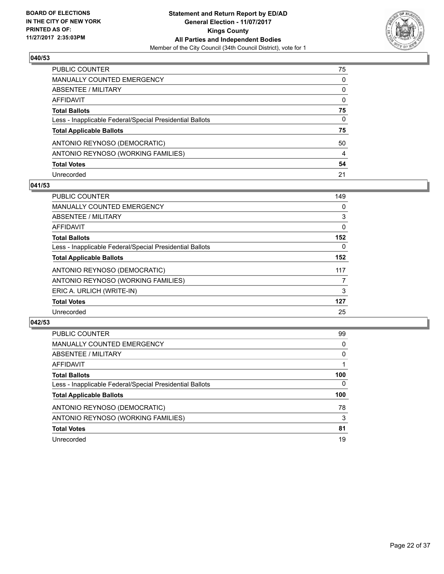

| PUBLIC COUNTER                                           | 75           |
|----------------------------------------------------------|--------------|
| <b>MANUALLY COUNTED EMERGENCY</b>                        | $\mathbf{0}$ |
| <b>ABSENTEE / MILITARY</b>                               | $\mathbf{0}$ |
| AFFIDAVIT                                                | $\mathbf{0}$ |
| <b>Total Ballots</b>                                     | 75           |
| Less - Inapplicable Federal/Special Presidential Ballots | 0            |
| <b>Total Applicable Ballots</b>                          | 75           |
| ANTONIO REYNOSO (DEMOCRATIC)                             | 50           |
| ANTONIO REYNOSO (WORKING FAMILIES)                       | 4            |
| <b>Total Votes</b>                                       | 54           |
| Unrecorded                                               | 21           |

## **041/53**

| <b>PUBLIC COUNTER</b>                                    | 149 |
|----------------------------------------------------------|-----|
| <b>MANUALLY COUNTED EMERGENCY</b>                        | 0   |
| ABSENTEE / MILITARY                                      | 3   |
| AFFIDAVIT                                                | 0   |
| <b>Total Ballots</b>                                     | 152 |
| Less - Inapplicable Federal/Special Presidential Ballots | 0   |
| <b>Total Applicable Ballots</b>                          | 152 |
| ANTONIO REYNOSO (DEMOCRATIC)                             | 117 |
| ANTONIO REYNOSO (WORKING FAMILIES)                       | 7   |
| ERIC A. URLICH (WRITE-IN)                                | 3   |
| <b>Total Votes</b>                                       | 127 |
| Unrecorded                                               | 25  |

| <b>PUBLIC COUNTER</b>                                    | 99  |
|----------------------------------------------------------|-----|
| MANUALLY COUNTED EMERGENCY                               | 0   |
| ABSENTEE / MILITARY                                      | 0   |
| AFFIDAVIT                                                |     |
| <b>Total Ballots</b>                                     | 100 |
| Less - Inapplicable Federal/Special Presidential Ballots | 0   |
| <b>Total Applicable Ballots</b>                          | 100 |
| ANTONIO REYNOSO (DEMOCRATIC)                             | 78  |
| ANTONIO REYNOSO (WORKING FAMILIES)                       | 3   |
| <b>Total Votes</b>                                       | 81  |
| Unrecorded                                               | 19  |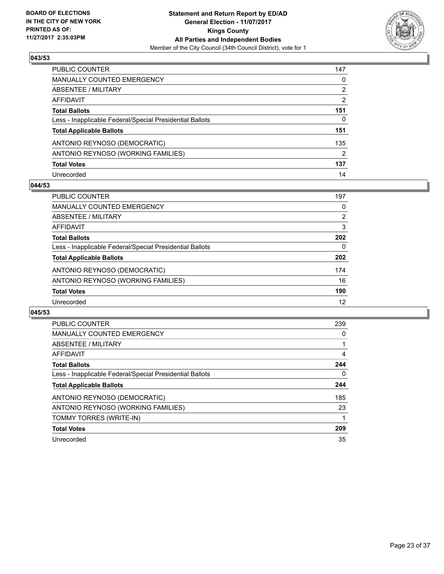

| PUBLIC COUNTER                                           | 147 |
|----------------------------------------------------------|-----|
| <b>MANUALLY COUNTED EMERGENCY</b>                        | 0   |
| ABSENTEE / MILITARY                                      | 2   |
| AFFIDAVIT                                                | 2   |
| <b>Total Ballots</b>                                     | 151 |
| Less - Inapplicable Federal/Special Presidential Ballots | 0   |
| <b>Total Applicable Ballots</b>                          | 151 |
| ANTONIO REYNOSO (DEMOCRATIC)                             | 135 |
| ANTONIO REYNOSO (WORKING FAMILIES)                       | 2   |
| <b>Total Votes</b>                                       | 137 |
| Unrecorded                                               | 14  |

#### **044/53**

| <b>PUBLIC COUNTER</b>                                    | 197 |
|----------------------------------------------------------|-----|
| <b>MANUALLY COUNTED EMERGENCY</b>                        | 0   |
| ABSENTEE / MILITARY                                      | 2   |
| AFFIDAVIT                                                | 3   |
| <b>Total Ballots</b>                                     | 202 |
| Less - Inapplicable Federal/Special Presidential Ballots | 0   |
| <b>Total Applicable Ballots</b>                          | 202 |
| ANTONIO REYNOSO (DEMOCRATIC)                             | 174 |
| ANTONIO REYNOSO (WORKING FAMILIES)                       | 16  |
| <b>Total Votes</b>                                       | 190 |
| Unrecorded                                               | 12  |

| <b>PUBLIC COUNTER</b>                                    | 239 |
|----------------------------------------------------------|-----|
| <b>MANUALLY COUNTED EMERGENCY</b>                        | 0   |
| ABSENTEE / MILITARY                                      |     |
| AFFIDAVIT                                                | 4   |
| <b>Total Ballots</b>                                     | 244 |
| Less - Inapplicable Federal/Special Presidential Ballots | 0   |
| <b>Total Applicable Ballots</b>                          | 244 |
| ANTONIO REYNOSO (DEMOCRATIC)                             | 185 |
| ANTONIO REYNOSO (WORKING FAMILIES)                       | 23  |
| TOMMY TORRES (WRITE-IN)                                  |     |
| <b>Total Votes</b>                                       | 209 |
| Unrecorded                                               | 35  |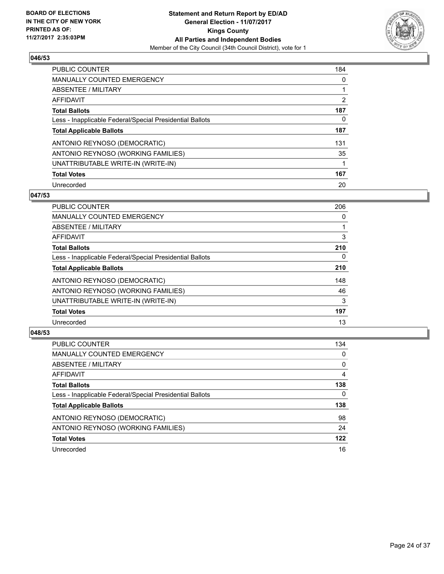

| <b>PUBLIC COUNTER</b>                                    | 184 |
|----------------------------------------------------------|-----|
| <b>MANUALLY COUNTED EMERGENCY</b>                        | 0   |
| ABSENTEE / MILITARY                                      |     |
| AFFIDAVIT                                                | 2   |
| <b>Total Ballots</b>                                     | 187 |
| Less - Inapplicable Federal/Special Presidential Ballots | 0   |
| <b>Total Applicable Ballots</b>                          | 187 |
| ANTONIO REYNOSO (DEMOCRATIC)                             | 131 |
| ANTONIO REYNOSO (WORKING FAMILIES)                       | 35  |
| UNATTRIBUTABLE WRITE-IN (WRITE-IN)                       | 1   |
| <b>Total Votes</b>                                       | 167 |
| Unrecorded                                               | 20  |

### **047/53**

| <b>PUBLIC COUNTER</b>                                    | 206      |
|----------------------------------------------------------|----------|
| <b>MANUALLY COUNTED EMERGENCY</b>                        | 0        |
| ABSENTEE / MILITARY                                      |          |
| <b>AFFIDAVIT</b>                                         | 3        |
| <b>Total Ballots</b>                                     | 210      |
| Less - Inapplicable Federal/Special Presidential Ballots | $\Omega$ |
| <b>Total Applicable Ballots</b>                          | 210      |
| ANTONIO REYNOSO (DEMOCRATIC)                             | 148      |
| ANTONIO REYNOSO (WORKING FAMILIES)                       | 46       |
| UNATTRIBUTABLE WRITE-IN (WRITE-IN)                       | 3        |
| <b>Total Votes</b>                                       | 197      |
| Unrecorded                                               | 13       |

| <b>PUBLIC COUNTER</b>                                    | 134 |
|----------------------------------------------------------|-----|
| MANUALLY COUNTED EMERGENCY                               | 0   |
| ABSENTEE / MILITARY                                      | 0   |
| AFFIDAVIT                                                | 4   |
| <b>Total Ballots</b>                                     | 138 |
| Less - Inapplicable Federal/Special Presidential Ballots | 0   |
| <b>Total Applicable Ballots</b>                          | 138 |
| ANTONIO REYNOSO (DEMOCRATIC)                             | 98  |
| ANTONIO REYNOSO (WORKING FAMILIES)                       | 24  |
| <b>Total Votes</b>                                       | 122 |
| Unrecorded                                               | 16  |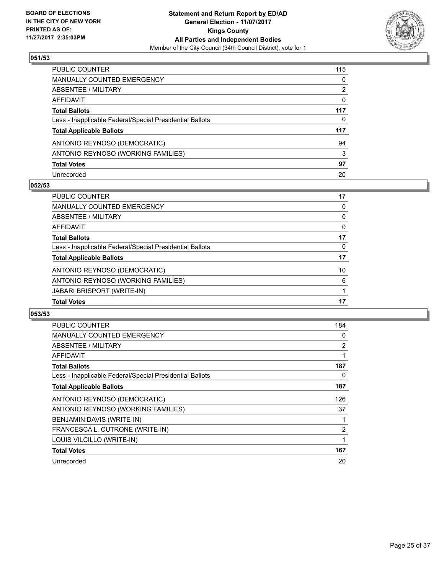

| PUBLIC COUNTER                                           | 115 |
|----------------------------------------------------------|-----|
| <b>MANUALLY COUNTED EMERGENCY</b>                        | 0   |
| <b>ABSENTEE / MILITARY</b>                               | 2   |
| <b>AFFIDAVIT</b>                                         | 0   |
| <b>Total Ballots</b>                                     | 117 |
| Less - Inapplicable Federal/Special Presidential Ballots | 0   |
| <b>Total Applicable Ballots</b>                          | 117 |
| ANTONIO REYNOSO (DEMOCRATIC)                             | 94  |
| ANTONIO REYNOSO (WORKING FAMILIES)                       | 3   |
| <b>Total Votes</b>                                       | 97  |
| Unrecorded                                               | 20  |

## **052/53**

| <b>Total Votes</b>                                       | 17 |
|----------------------------------------------------------|----|
| <b>JABARI BRISPORT (WRITE-IN)</b>                        |    |
| ANTONIO REYNOSO (WORKING FAMILIES)                       | 6  |
| ANTONIO REYNOSO (DEMOCRATIC)                             | 10 |
| <b>Total Applicable Ballots</b>                          | 17 |
| Less - Inapplicable Federal/Special Presidential Ballots | 0  |
| <b>Total Ballots</b>                                     | 17 |
| AFFIDAVIT                                                | 0  |
| ABSENTEE / MILITARY                                      | 0  |
| MANUALLY COUNTED EMERGENCY                               | 0  |
| <b>PUBLIC COUNTER</b>                                    | 17 |

| <b>PUBLIC COUNTER</b>                                    | 184 |
|----------------------------------------------------------|-----|
| <b>MANUALLY COUNTED EMERGENCY</b>                        | 0   |
| ABSENTEE / MILITARY                                      | 2   |
| AFFIDAVIT                                                | 1   |
| <b>Total Ballots</b>                                     | 187 |
| Less - Inapplicable Federal/Special Presidential Ballots | 0   |
| <b>Total Applicable Ballots</b>                          | 187 |
| ANTONIO REYNOSO (DEMOCRATIC)                             | 126 |
| ANTONIO REYNOSO (WORKING FAMILIES)                       | 37  |
| BENJAMIN DAVIS (WRITE-IN)                                | 1   |
| FRANCESCA L. CUTRONE (WRITE-IN)                          | 2   |
| LOUIS VILCILLO (WRITE-IN)                                | 1   |
| <b>Total Votes</b>                                       | 167 |
| Unrecorded                                               | 20  |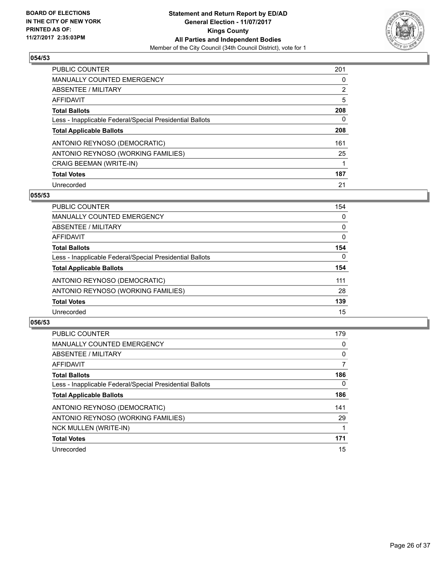

| <b>PUBLIC COUNTER</b>                                    | 201            |
|----------------------------------------------------------|----------------|
| <b>MANUALLY COUNTED EMERGENCY</b>                        | 0              |
| ABSENTEE / MILITARY                                      | $\overline{2}$ |
| AFFIDAVIT                                                | 5              |
| <b>Total Ballots</b>                                     | 208            |
| Less - Inapplicable Federal/Special Presidential Ballots | 0              |
| <b>Total Applicable Ballots</b>                          | 208            |
| ANTONIO REYNOSO (DEMOCRATIC)                             | 161            |
| ANTONIO REYNOSO (WORKING FAMILIES)                       | 25             |
| <b>CRAIG BEEMAN (WRITE-IN)</b>                           |                |
| <b>Total Votes</b>                                       | 187            |
| Unrecorded                                               | 21             |

#### **055/53**

| <b>PUBLIC COUNTER</b>                                    | 154      |
|----------------------------------------------------------|----------|
| MANUALLY COUNTED EMERGENCY                               | 0        |
| ABSENTEE / MILITARY                                      | $\Omega$ |
| <b>AFFIDAVIT</b>                                         | 0        |
| <b>Total Ballots</b>                                     | 154      |
| Less - Inapplicable Federal/Special Presidential Ballots | $\Omega$ |
| <b>Total Applicable Ballots</b>                          | 154      |
| ANTONIO REYNOSO (DEMOCRATIC)                             | 111      |
| ANTONIO REYNOSO (WORKING FAMILIES)                       | 28       |
| <b>Total Votes</b>                                       | 139      |
| Unrecorded                                               | 15       |

| <b>PUBLIC COUNTER</b>                                    | 179      |
|----------------------------------------------------------|----------|
| <b>MANUALLY COUNTED EMERGENCY</b>                        | 0        |
| ABSENTEE / MILITARY                                      | 0        |
| <b>AFFIDAVIT</b>                                         | 7        |
| <b>Total Ballots</b>                                     | 186      |
| Less - Inapplicable Federal/Special Presidential Ballots | $\Omega$ |
| <b>Total Applicable Ballots</b>                          | 186      |
| ANTONIO REYNOSO (DEMOCRATIC)                             | 141      |
| ANTONIO REYNOSO (WORKING FAMILIES)                       | 29       |
| <b>NCK MULLEN (WRITE-IN)</b>                             |          |
| <b>Total Votes</b>                                       | 171      |
| Unrecorded                                               | 15       |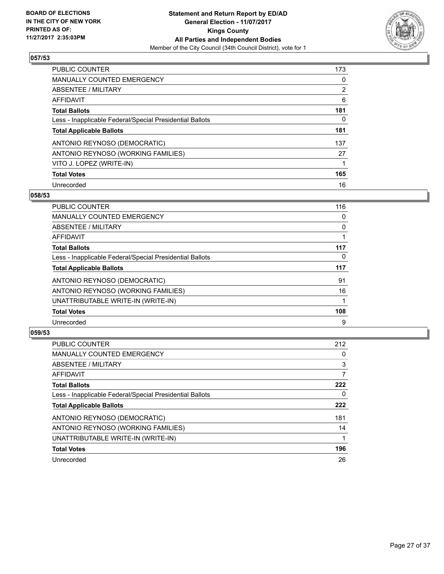

| <b>PUBLIC COUNTER</b>                                    | 173            |
|----------------------------------------------------------|----------------|
| <b>MANUALLY COUNTED EMERGENCY</b>                        | 0              |
| ABSENTEE / MILITARY                                      | $\overline{2}$ |
| AFFIDAVIT                                                | 6              |
| <b>Total Ballots</b>                                     | 181            |
| Less - Inapplicable Federal/Special Presidential Ballots | 0              |
| <b>Total Applicable Ballots</b>                          | 181            |
| ANTONIO REYNOSO (DEMOCRATIC)                             | 137            |
| ANTONIO REYNOSO (WORKING FAMILIES)                       | 27             |
| VITO J. LOPEZ (WRITE-IN)                                 |                |
| <b>Total Votes</b>                                       | 165            |
| Unrecorded                                               | 16             |

#### **058/53**

| <b>PUBLIC COUNTER</b>                                    | 116 |
|----------------------------------------------------------|-----|
| <b>MANUALLY COUNTED EMERGENCY</b>                        | 0   |
| ABSENTEE / MILITARY                                      | 0   |
| <b>AFFIDAVIT</b>                                         |     |
| <b>Total Ballots</b>                                     | 117 |
| Less - Inapplicable Federal/Special Presidential Ballots | 0   |
| <b>Total Applicable Ballots</b>                          | 117 |
| ANTONIO REYNOSO (DEMOCRATIC)                             | 91  |
| ANTONIO REYNOSO (WORKING FAMILIES)                       | 16  |
| UNATTRIBUTABLE WRITE-IN (WRITE-IN)                       |     |
| <b>Total Votes</b>                                       | 108 |
| Unrecorded                                               | 9   |

| <b>PUBLIC COUNTER</b>                                    | 212 |
|----------------------------------------------------------|-----|
| <b>MANUALLY COUNTED EMERGENCY</b>                        | 0   |
| ABSENTEE / MILITARY                                      | 3   |
| AFFIDAVIT                                                | 7   |
| <b>Total Ballots</b>                                     | 222 |
| Less - Inapplicable Federal/Special Presidential Ballots | 0   |
| <b>Total Applicable Ballots</b>                          | 222 |
| ANTONIO REYNOSO (DEMOCRATIC)                             | 181 |
| ANTONIO REYNOSO (WORKING FAMILIES)                       | 14  |
| UNATTRIBUTABLE WRITE-IN (WRITE-IN)                       |     |
| <b>Total Votes</b>                                       | 196 |
| Unrecorded                                               | 26  |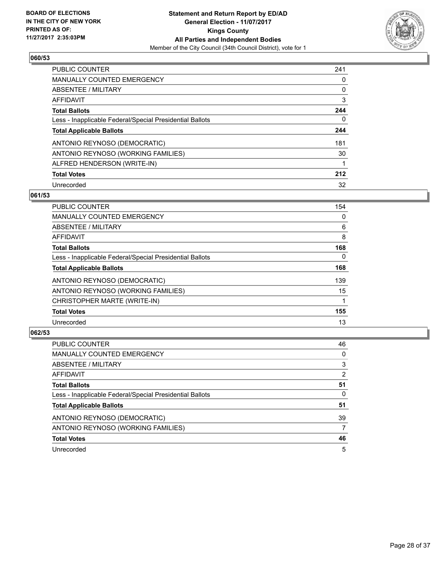

| <b>PUBLIC COUNTER</b>                                    | 241 |
|----------------------------------------------------------|-----|
| <b>MANUALLY COUNTED EMERGENCY</b>                        | 0   |
| ABSENTEE / MILITARY                                      | 0   |
| AFFIDAVIT                                                | 3   |
| <b>Total Ballots</b>                                     | 244 |
| Less - Inapplicable Federal/Special Presidential Ballots | 0   |
| <b>Total Applicable Ballots</b>                          | 244 |
| ANTONIO REYNOSO (DEMOCRATIC)                             | 181 |
| ANTONIO REYNOSO (WORKING FAMILIES)                       | 30  |
| ALFRED HENDERSON (WRITE-IN)                              | 1   |
| <b>Total Votes</b>                                       | 212 |
| Unrecorded                                               | 32  |

#### **061/53**

| <b>PUBLIC COUNTER</b>                                    | 154      |
|----------------------------------------------------------|----------|
| <b>MANUALLY COUNTED EMERGENCY</b>                        | 0        |
| ABSENTEE / MILITARY                                      | 6        |
| <b>AFFIDAVIT</b>                                         | 8        |
| <b>Total Ballots</b>                                     | 168      |
| Less - Inapplicable Federal/Special Presidential Ballots | $\Omega$ |
| <b>Total Applicable Ballots</b>                          | 168      |
| ANTONIO REYNOSO (DEMOCRATIC)                             | 139      |
| ANTONIO REYNOSO (WORKING FAMILIES)                       | 15       |
| CHRISTOPHER MARTE (WRITE-IN)                             |          |
| <b>Total Votes</b>                                       | 155      |
| Unrecorded                                               | 13       |

| <b>PUBLIC COUNTER</b>                                    | 46             |
|----------------------------------------------------------|----------------|
| <b>MANUALLY COUNTED EMERGENCY</b>                        | 0              |
| ABSENTEE / MILITARY                                      | 3              |
| AFFIDAVIT                                                | $\overline{2}$ |
| <b>Total Ballots</b>                                     | 51             |
| Less - Inapplicable Federal/Special Presidential Ballots | 0              |
| <b>Total Applicable Ballots</b>                          | 51             |
| ANTONIO REYNOSO (DEMOCRATIC)                             | 39             |
| ANTONIO REYNOSO (WORKING FAMILIES)                       | 7              |
| <b>Total Votes</b>                                       | 46             |
| Unrecorded                                               | 5              |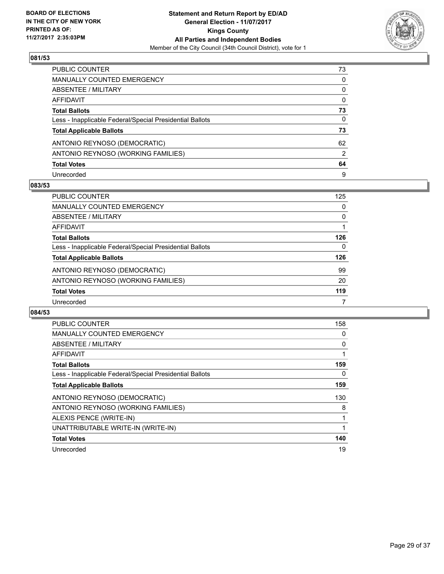

| PUBLIC COUNTER                                           | 73 |
|----------------------------------------------------------|----|
| MANUALLY COUNTED EMERGENCY                               | 0  |
| <b>ABSENTEE / MILITARY</b>                               | 0  |
| AFFIDAVIT                                                | 0  |
| <b>Total Ballots</b>                                     | 73 |
| Less - Inapplicable Federal/Special Presidential Ballots | 0  |
| <b>Total Applicable Ballots</b>                          | 73 |
| ANTONIO REYNOSO (DEMOCRATIC)                             | 62 |
| ANTONIO REYNOSO (WORKING FAMILIES)                       | 2  |
| <b>Total Votes</b>                                       | 64 |
| Unrecorded                                               | 9  |

#### **083/53**

| <b>PUBLIC COUNTER</b>                                    | 125 |
|----------------------------------------------------------|-----|
| MANUALLY COUNTED EMERGENCY                               | 0   |
| ABSENTEE / MILITARY                                      | 0   |
| AFFIDAVIT                                                |     |
| <b>Total Ballots</b>                                     | 126 |
| Less - Inapplicable Federal/Special Presidential Ballots | 0   |
| <b>Total Applicable Ballots</b>                          | 126 |
| ANTONIO REYNOSO (DEMOCRATIC)                             | 99  |
| ANTONIO REYNOSO (WORKING FAMILIES)                       | 20  |
| <b>Total Votes</b>                                       | 119 |
| Unrecorded                                               |     |

| <b>PUBLIC COUNTER</b>                                    | 158 |
|----------------------------------------------------------|-----|
| <b>MANUALLY COUNTED EMERGENCY</b>                        | 0   |
| ABSENTEE / MILITARY                                      | 0   |
| AFFIDAVIT                                                |     |
| <b>Total Ballots</b>                                     | 159 |
| Less - Inapplicable Federal/Special Presidential Ballots | 0   |
| <b>Total Applicable Ballots</b>                          | 159 |
| ANTONIO REYNOSO (DEMOCRATIC)                             | 130 |
| ANTONIO REYNOSO (WORKING FAMILIES)                       | 8   |
| ALEXIS PENCE (WRITE-IN)                                  |     |
| UNATTRIBUTABLE WRITE-IN (WRITE-IN)                       | 1   |
| <b>Total Votes</b>                                       | 140 |
| Unrecorded                                               | 19  |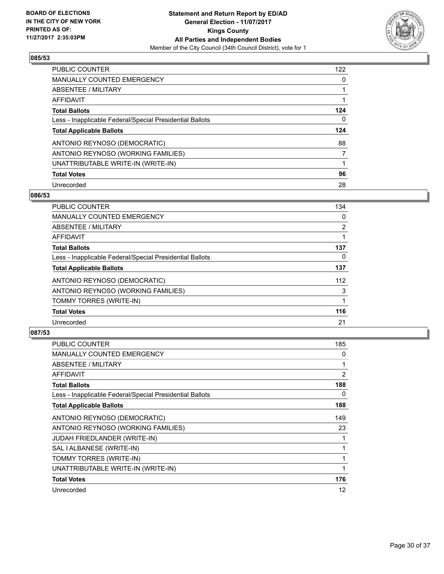

| <b>PUBLIC COUNTER</b>                                    | 122 |
|----------------------------------------------------------|-----|
| <b>MANUALLY COUNTED EMERGENCY</b>                        | 0   |
| ABSENTEE / MILITARY                                      |     |
| AFFIDAVIT                                                |     |
| <b>Total Ballots</b>                                     | 124 |
| Less - Inapplicable Federal/Special Presidential Ballots | 0   |
| <b>Total Applicable Ballots</b>                          | 124 |
| ANTONIO REYNOSO (DEMOCRATIC)                             | 88  |
| ANTONIO REYNOSO (WORKING FAMILIES)                       | 7   |
| UNATTRIBUTABLE WRITE-IN (WRITE-IN)                       |     |
| <b>Total Votes</b>                                       | 96  |
| Unrecorded                                               | 28  |

### **086/53**

| <b>PUBLIC COUNTER</b>                                    | 134            |
|----------------------------------------------------------|----------------|
| <b>MANUALLY COUNTED EMERGENCY</b>                        | 0              |
| ABSENTEE / MILITARY                                      | $\overline{2}$ |
| <b>AFFIDAVIT</b>                                         |                |
| <b>Total Ballots</b>                                     | 137            |
| Less - Inapplicable Federal/Special Presidential Ballots | 0              |
| <b>Total Applicable Ballots</b>                          | 137            |
| ANTONIO REYNOSO (DEMOCRATIC)                             | 112            |
| ANTONIO REYNOSO (WORKING FAMILIES)                       | 3              |
| TOMMY TORRES (WRITE-IN)                                  |                |
| <b>Total Votes</b>                                       | 116            |
| Unrecorded                                               | 21             |

| <b>PUBLIC COUNTER</b>                                    | 185 |
|----------------------------------------------------------|-----|
| MANUALLY COUNTED EMERGENCY                               | 0   |
| ABSENTEE / MILITARY                                      | 1   |
| <b>AFFIDAVIT</b>                                         | 2   |
| <b>Total Ballots</b>                                     | 188 |
| Less - Inapplicable Federal/Special Presidential Ballots | 0   |
| <b>Total Applicable Ballots</b>                          | 188 |
| ANTONIO REYNOSO (DEMOCRATIC)                             | 149 |
| ANTONIO REYNOSO (WORKING FAMILIES)                       | 23  |
| <b>JUDAH FRIEDLANDER (WRITE-IN)</b>                      | 1   |
| SAL I ALBANESE (WRITE-IN)                                | 1   |
| TOMMY TORRES (WRITE-IN)                                  | 1   |
| UNATTRIBUTABLE WRITE-IN (WRITE-IN)                       | 1   |
| <b>Total Votes</b>                                       | 176 |
| Unrecorded                                               | 12  |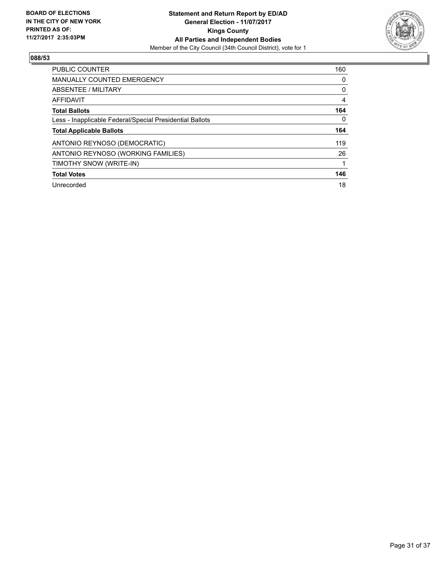

| <b>PUBLIC COUNTER</b>                                    | 160 |
|----------------------------------------------------------|-----|
| <b>MANUALLY COUNTED EMERGENCY</b>                        | 0   |
| ABSENTEE / MILITARY                                      | 0   |
| AFFIDAVIT                                                | 4   |
| <b>Total Ballots</b>                                     | 164 |
| Less - Inapplicable Federal/Special Presidential Ballots | 0   |
| <b>Total Applicable Ballots</b>                          | 164 |
| ANTONIO REYNOSO (DEMOCRATIC)                             | 119 |
| ANTONIO REYNOSO (WORKING FAMILIES)                       | 26  |
| TIMOTHY SNOW (WRITE-IN)                                  |     |
|                                                          |     |
| <b>Total Votes</b>                                       | 146 |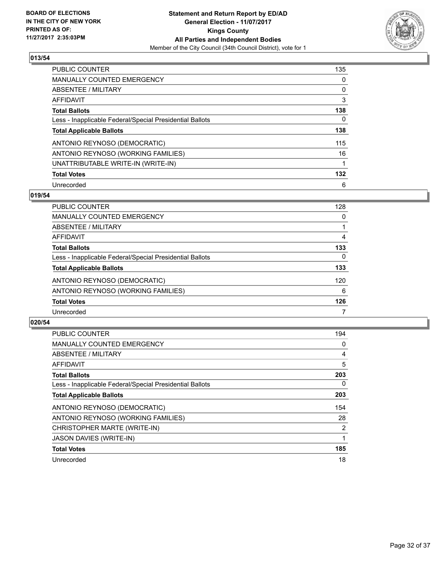

| <b>PUBLIC COUNTER</b>                                    | 135 |
|----------------------------------------------------------|-----|
| <b>MANUALLY COUNTED EMERGENCY</b>                        | 0   |
| ABSENTEE / MILITARY                                      | 0   |
| AFFIDAVIT                                                | 3   |
| <b>Total Ballots</b>                                     | 138 |
| Less - Inapplicable Federal/Special Presidential Ballots | 0   |
| <b>Total Applicable Ballots</b>                          | 138 |
| ANTONIO REYNOSO (DEMOCRATIC)                             | 115 |
| ANTONIO REYNOSO (WORKING FAMILIES)                       | 16  |
| UNATTRIBUTABLE WRITE-IN (WRITE-IN)                       | 1   |
| <b>Total Votes</b>                                       | 132 |
| Unrecorded                                               | 6   |

### **019/54**

| <b>PUBLIC COUNTER</b>                                    | 128 |
|----------------------------------------------------------|-----|
| MANUALLY COUNTED EMERGENCY                               | 0   |
| ABSENTEE / MILITARY                                      |     |
| AFFIDAVIT                                                | 4   |
| <b>Total Ballots</b>                                     | 133 |
| Less - Inapplicable Federal/Special Presidential Ballots | 0   |
| <b>Total Applicable Ballots</b>                          | 133 |
| ANTONIO REYNOSO (DEMOCRATIC)                             | 120 |
| ANTONIO REYNOSO (WORKING FAMILIES)                       | 6   |
| <b>Total Votes</b>                                       | 126 |
| Unrecorded                                               |     |

| <b>PUBLIC COUNTER</b>                                    | 194            |
|----------------------------------------------------------|----------------|
| MANUALLY COUNTED EMERGENCY                               | 0              |
| ABSENTEE / MILITARY                                      | 4              |
| <b>AFFIDAVIT</b>                                         | 5              |
| <b>Total Ballots</b>                                     | 203            |
| Less - Inapplicable Federal/Special Presidential Ballots | 0              |
| <b>Total Applicable Ballots</b>                          | 203            |
| ANTONIO REYNOSO (DEMOCRATIC)                             | 154            |
| ANTONIO REYNOSO (WORKING FAMILIES)                       | 28             |
| CHRISTOPHER MARTE (WRITE-IN)                             | $\overline{2}$ |
| <b>JASON DAVIES (WRITE-IN)</b>                           | 1              |
| <b>Total Votes</b>                                       | 185            |
| Unrecorded                                               | 18             |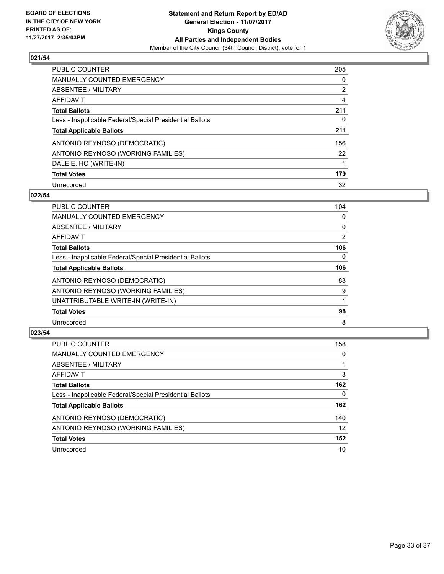

| <b>PUBLIC COUNTER</b>                                    | 205            |
|----------------------------------------------------------|----------------|
| <b>MANUALLY COUNTED EMERGENCY</b>                        | 0              |
| ABSENTEE / MILITARY                                      | $\overline{2}$ |
| AFFIDAVIT                                                | 4              |
| <b>Total Ballots</b>                                     | 211            |
| Less - Inapplicable Federal/Special Presidential Ballots | 0              |
| <b>Total Applicable Ballots</b>                          | 211            |
| ANTONIO REYNOSO (DEMOCRATIC)                             | 156            |
| ANTONIO REYNOSO (WORKING FAMILIES)                       | 22             |
| DALE E. HO (WRITE-IN)                                    |                |
| <b>Total Votes</b>                                       | 179            |
| Unrecorded                                               | 32             |

#### **022/54**

| <b>PUBLIC COUNTER</b>                                    | 104      |
|----------------------------------------------------------|----------|
| <b>MANUALLY COUNTED EMERGENCY</b>                        | 0        |
| ABSENTEE / MILITARY                                      | 0        |
| <b>AFFIDAVIT</b>                                         | 2        |
| <b>Total Ballots</b>                                     | 106      |
| Less - Inapplicable Federal/Special Presidential Ballots | $\Omega$ |
| <b>Total Applicable Ballots</b>                          | 106      |
| ANTONIO REYNOSO (DEMOCRATIC)                             | 88       |
| ANTONIO REYNOSO (WORKING FAMILIES)                       | 9        |
| UNATTRIBUTABLE WRITE-IN (WRITE-IN)                       |          |
| <b>Total Votes</b>                                       | 98       |
| Unrecorded                                               | 8        |

| <b>PUBLIC COUNTER</b>                                    | 158 |
|----------------------------------------------------------|-----|
| MANUALLY COUNTED EMERGENCY                               | 0   |
| ABSENTEE / MILITARY                                      |     |
| AFFIDAVIT                                                | 3   |
| <b>Total Ballots</b>                                     | 162 |
| Less - Inapplicable Federal/Special Presidential Ballots | 0   |
| <b>Total Applicable Ballots</b>                          | 162 |
| ANTONIO REYNOSO (DEMOCRATIC)                             | 140 |
| ANTONIO REYNOSO (WORKING FAMILIES)                       | 12  |
| <b>Total Votes</b>                                       | 152 |
| Unrecorded                                               | 10  |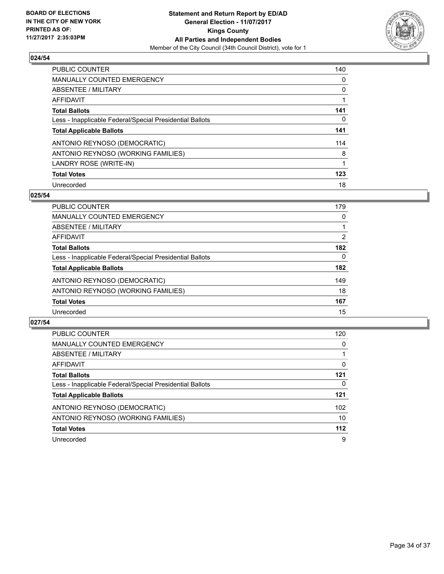

| <b>PUBLIC COUNTER</b>                                    | 140 |
|----------------------------------------------------------|-----|
| <b>MANUALLY COUNTED EMERGENCY</b>                        | 0   |
| ABSENTEE / MILITARY                                      | 0   |
| <b>AFFIDAVIT</b>                                         |     |
| <b>Total Ballots</b>                                     | 141 |
| Less - Inapplicable Federal/Special Presidential Ballots | 0   |
| <b>Total Applicable Ballots</b>                          | 141 |
| ANTONIO REYNOSO (DEMOCRATIC)                             | 114 |
| ANTONIO REYNOSO (WORKING FAMILIES)                       | 8   |
| LANDRY ROSE (WRITE-IN)                                   |     |
| <b>Total Votes</b>                                       | 123 |
| Unrecorded                                               | 18  |

### **025/54**

| <b>PUBLIC COUNTER</b>                                    | 179 |
|----------------------------------------------------------|-----|
| MANUALLY COUNTED EMERGENCY                               | 0   |
| ABSENTEE / MILITARY                                      |     |
| <b>AFFIDAVIT</b>                                         | 2   |
| <b>Total Ballots</b>                                     | 182 |
| Less - Inapplicable Federal/Special Presidential Ballots | 0   |
| <b>Total Applicable Ballots</b>                          | 182 |
| ANTONIO REYNOSO (DEMOCRATIC)                             | 149 |
| ANTONIO REYNOSO (WORKING FAMILIES)                       | 18  |
| <b>Total Votes</b>                                       | 167 |
| Unrecorded                                               | 15  |

| <b>PUBLIC COUNTER</b>                                    | 120   |
|----------------------------------------------------------|-------|
| MANUALLY COUNTED EMERGENCY                               | 0     |
| ABSENTEE / MILITARY                                      |       |
| AFFIDAVIT                                                | 0     |
| <b>Total Ballots</b>                                     | 121   |
| Less - Inapplicable Federal/Special Presidential Ballots | 0     |
| <b>Total Applicable Ballots</b>                          | 121   |
| ANTONIO REYNOSO (DEMOCRATIC)                             | 102   |
| ANTONIO REYNOSO (WORKING FAMILIES)                       | 10    |
| <b>Total Votes</b>                                       | $112$ |
| Unrecorded                                               | 9     |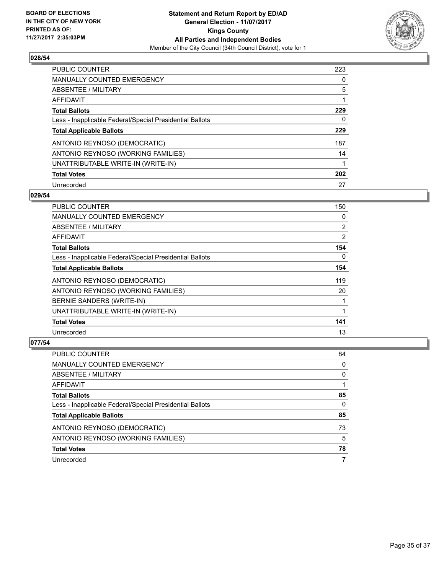

| <b>PUBLIC COUNTER</b>                                    | 223 |
|----------------------------------------------------------|-----|
| <b>MANUALLY COUNTED EMERGENCY</b>                        | 0   |
| ABSENTEE / MILITARY                                      | 5   |
| AFFIDAVIT                                                |     |
| <b>Total Ballots</b>                                     | 229 |
| Less - Inapplicable Federal/Special Presidential Ballots | 0   |
| <b>Total Applicable Ballots</b>                          | 229 |
| ANTONIO REYNOSO (DEMOCRATIC)                             | 187 |
| ANTONIO REYNOSO (WORKING FAMILIES)                       | 14  |
| UNATTRIBUTABLE WRITE-IN (WRITE-IN)                       |     |
| <b>Total Votes</b>                                       | 202 |
| Unrecorded                                               | 27  |

### **029/54**

| <b>PUBLIC COUNTER</b>                                    | 150            |
|----------------------------------------------------------|----------------|
| <b>MANUALLY COUNTED EMERGENCY</b>                        | 0              |
| ABSENTEE / MILITARY                                      | $\overline{2}$ |
| AFFIDAVIT                                                | 2              |
| <b>Total Ballots</b>                                     | 154            |
| Less - Inapplicable Federal/Special Presidential Ballots | $\Omega$       |
| <b>Total Applicable Ballots</b>                          | 154            |
| ANTONIO REYNOSO (DEMOCRATIC)                             | 119            |
| ANTONIO REYNOSO (WORKING FAMILIES)                       | 20             |
| BERNIE SANDERS (WRITE-IN)                                |                |
| UNATTRIBUTABLE WRITE-IN (WRITE-IN)                       |                |
| <b>Total Votes</b>                                       | 141            |
| Unrecorded                                               | 13             |

| PUBLIC COUNTER                                           | 84 |
|----------------------------------------------------------|----|
| <b>MANUALLY COUNTED EMERGENCY</b>                        | 0  |
| ABSENTEE / MILITARY                                      | 0  |
| AFFIDAVIT                                                |    |
| <b>Total Ballots</b>                                     | 85 |
| Less - Inapplicable Federal/Special Presidential Ballots | 0  |
| <b>Total Applicable Ballots</b>                          | 85 |
| ANTONIO REYNOSO (DEMOCRATIC)                             | 73 |
| ANTONIO REYNOSO (WORKING FAMILIES)                       | 5  |
| <b>Total Votes</b>                                       | 78 |
| Unrecorded                                               | 7  |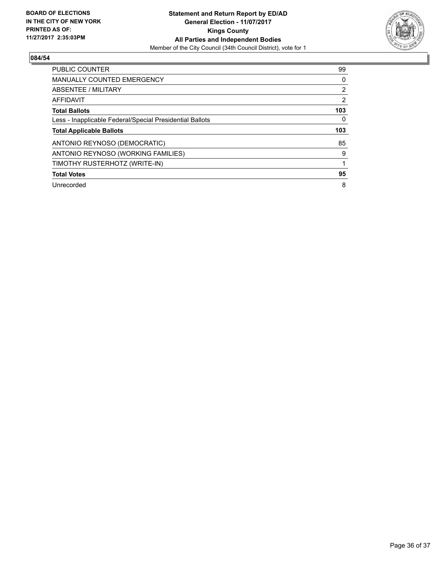

| <b>PUBLIC COUNTER</b>                                    | 99             |
|----------------------------------------------------------|----------------|
| <b>MANUALLY COUNTED EMERGENCY</b>                        | 0              |
| ABSENTEE / MILITARY                                      | $\overline{2}$ |
| AFFIDAVIT                                                | 2              |
| <b>Total Ballots</b>                                     | 103            |
| Less - Inapplicable Federal/Special Presidential Ballots | 0              |
| <b>Total Applicable Ballots</b>                          | 103            |
| ANTONIO REYNOSO (DEMOCRATIC)                             | 85             |
| ANTONIO REYNOSO (WORKING FAMILIES)                       | 9              |
| TIMOTHY RUSTERHOTZ (WRITE-IN)                            |                |
|                                                          |                |
| <b>Total Votes</b>                                       | 95             |